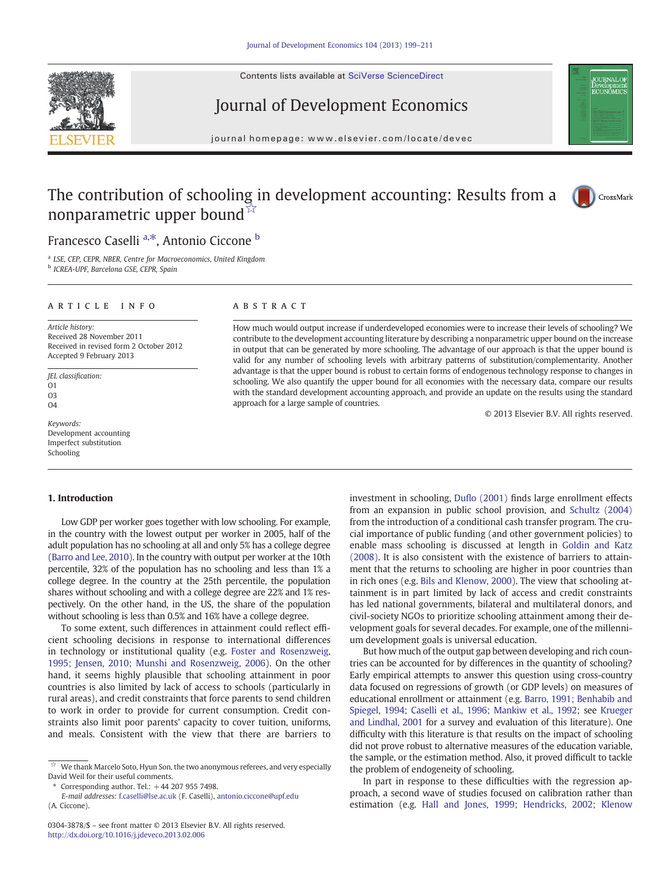Contents lists available at [SciVerse ScienceDirect](http://www.sciencedirect.com/science/journal/03043878)

# Journal of Development Economics

journal homepage: www.elsevier.com/locate/devec

# **OURNAL OF**<br>Development Developmen<br>ECONOMICS

# The contribution of schooling in development accounting: Results from a nonparametric upper bound<sup> $\bar{\nu}$ </sup>



# Francesco Caselli<sup>a,\*</sup>, Antonio Ciccone <sup>b</sup>

<sup>a</sup> LSE, CEP, CEPR, NBER, Centre for Macroeconomics, United Kingdom

<sup>b</sup> ICREA-UPF, Barcelona GSE, CEPR, Spain

#### article info abstract

Article history: Received 28 November 2011 Received in revised form 2 October 2012 Accepted 9 February 2013

JEL classification:  $\Omega$ 1 O3  $O<sub>4</sub>$ 

Keywords: Development accounting Imperfect substitution Schooling

How much would output increase if underdeveloped economies were to increase their levels of schooling? We contribute to the development accounting literature by describing a nonparametric upper bound on the increase in output that can be generated by more schooling. The advantage of our approach is that the upper bound is valid for any number of schooling levels with arbitrary patterns of substitution/complementarity. Another advantage is that the upper bound is robust to certain forms of endogenous technology response to changes in schooling. We also quantify the upper bound for all economies with the necessary data, compare our results with the standard development accounting approach, and provide an update on the results using the standard approach for a large sample of countries.

© 2013 Elsevier B.V. All rights reserved.

#### 1. Introduction

Low GDP per worker goes together with low schooling. For example, in the country with the lowest output per worker in 2005, half of the adult population has no schooling at all and only 5% has a college degree [\(Barro and Lee, 2010](#page-11-0)). In the country with output per worker at the 10th percentile, 32% of the population has no schooling and less than 1% a college degree. In the country at the 25th percentile, the population shares without schooling and with a college degree are 22% and 1% respectively. On the other hand, in the US, the share of the population without schooling is less than 0.5% and 16% have a college degree.

To some extent, such differences in attainment could reflect efficient schooling decisions in response to international differences in technology or institutional quality (e.g. [Foster and Rosenzweig,](#page-11-0) [1995; Jensen, 2010; Munshi and Rosenzweig, 2006\)](#page-11-0). On the other hand, it seems highly plausible that schooling attainment in poor countries is also limited by lack of access to schools (particularly in rural areas), and credit constraints that force parents to send children to work in order to provide for current consumption. Credit constraints also limit poor parents' capacity to cover tuition, uniforms, and meals. Consistent with the view that there are barriers to

⁎ Corresponding author. Tel.: +44 207 955 7498.

investment in schooling, Dufl[o \(2001\)](#page-11-0) finds large enrollment effects from an expansion in public school provision, and [Schultz \(2004\)](#page-12-0) from the introduction of a conditional cash transfer program. The crucial importance of public funding (and other government policies) to enable mass schooling is discussed at length in [Goldin and Katz](#page-11-0) [\(2008\).](#page-11-0) It is also consistent with the existence of barriers to attainment that the returns to schooling are higher in poor countries than in rich ones (e.g. [Bils and Klenow, 2000](#page-11-0)). The view that schooling attainment is in part limited by lack of access and credit constraints has led national governments, bilateral and multilateral donors, and civil-society NGOs to prioritize schooling attainment among their development goals for several decades. For example, one of the millennium development goals is universal education.

But how much of the output gap between developing and rich countries can be accounted for by differences in the quantity of schooling? Early empirical attempts to answer this question using cross-country data focused on regressions of growth (or GDP levels) on measures of educational enrollment or attainment (e.g. [Barro, 1991; Benhabib and](#page-11-0) [Spiegel, 1994; Caselli et al., 1996; Mankiw et al., 1992](#page-11-0); see [Krueger](#page-12-0) [and Lindhal, 2001](#page-12-0) for a survey and evaluation of this literature). One difficulty with this literature is that results on the impact of schooling did not prove robust to alternative measures of the education variable, the sample, or the estimation method. Also, it proved difficult to tackle the problem of endogeneity of schooling.

In part in response to these difficulties with the regression approach, a second wave of studies focused on calibration rather than estimation (e.g. [Hall and Jones, 1999; Hendricks, 2002; Klenow](#page-11-0)



 $\overline{\mathcal{A}}$  We thank Marcelo Soto, Hyun Son, the two anonymous referees, and very especially David Weil for their useful comments.

E-mail addresses: [f.caselli@lse.ac.uk](mailto:f.caselli@lse.ac.uk) (F. Caselli), [antonio.ciccone@upf.edu](mailto:antonio.ciccone@upf.edu) (A. Ciccone).

<sup>0304-3878/\$</sup> – see front matter © 2013 Elsevier B.V. All rights reserved. <http://dx.doi.org/10.1016/j.jdeveco.2013.02.006>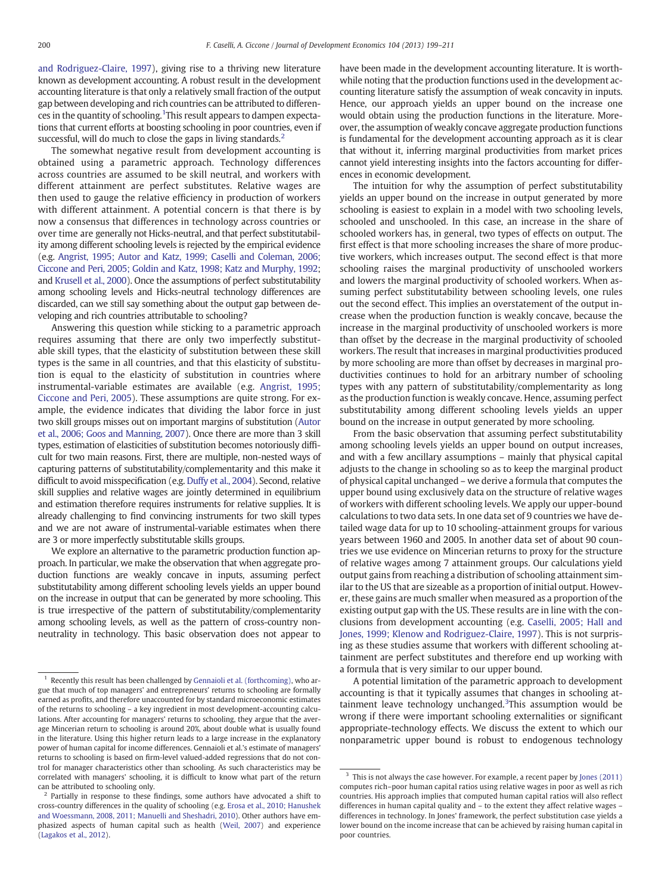[and Rodriguez-Claire, 1997\)](#page-11-0), giving rise to a thriving new literature known as development accounting. A robust result in the development accounting literature is that only a relatively small fraction of the output gap between developing and rich countries can be attributed to differences in the quantity of schooling. <sup>1</sup>This result appears to dampen expectations that current efforts at boosting schooling in poor countries, even if successful, will do much to close the gaps in living standards.<sup>2</sup>

The somewhat negative result from development accounting is obtained using a parametric approach. Technology differences across countries are assumed to be skill neutral, and workers with different attainment are perfect substitutes. Relative wages are then used to gauge the relative efficiency in production of workers with different attainment. A potential concern is that there is by now a consensus that differences in technology across countries or over time are generally not Hicks-neutral, and that perfect substitutability among different schooling levels is rejected by the empirical evidence (e.g. [Angrist, 1995; Autor and Katz, 1999; Caselli and Coleman, 2006;](#page-11-0) [Ciccone and Peri, 2005; Goldin and Katz, 1998; Katz and Murphy, 1992](#page-11-0); and [Krusell et al., 2000](#page-12-0)). Once the assumptions of perfect substitutability among schooling levels and Hicks-neutral technology differences are discarded, can we still say something about the output gap between developing and rich countries attributable to schooling?

Answering this question while sticking to a parametric approach requires assuming that there are only two imperfectly substitutable skill types, that the elasticity of substitution between these skill types is the same in all countries, and that this elasticity of substitution is equal to the elasticity of substitution in countries where instrumental-variable estimates are available (e.g. [Angrist, 1995;](#page-11-0) [Ciccone and Peri, 2005\)](#page-11-0). These assumptions are quite strong. For example, the evidence indicates that dividing the labor force in just two skill groups misses out on important margins of substitution [\(Autor](#page-11-0) [et al., 2006; Goos and Manning, 2007](#page-11-0)). Once there are more than 3 skill types, estimation of elasticities of substitution becomes notoriously difficult for two main reasons. First, there are multiple, non-nested ways of capturing patterns of substitutability/complementarity and this make it difficult to avoid misspecification (e.g. [Duffy et al., 2004\)](#page-11-0). Second, relative skill supplies and relative wages are jointly determined in equilibrium and estimation therefore requires instruments for relative supplies. It is already challenging to find convincing instruments for two skill types and we are not aware of instrumental-variable estimates when there are 3 or more imperfectly substitutable skills groups.

We explore an alternative to the parametric production function approach. In particular, we make the observation that when aggregate production functions are weakly concave in inputs, assuming perfect substitutability among different schooling levels yields an upper bound on the increase in output that can be generated by more schooling. This is true irrespective of the pattern of substitutability/complementarity among schooling levels, as well as the pattern of cross-country nonneutrality in technology. This basic observation does not appear to have been made in the development accounting literature. It is worthwhile noting that the production functions used in the development accounting literature satisfy the assumption of weak concavity in inputs. Hence, our approach yields an upper bound on the increase one would obtain using the production functions in the literature. Moreover, the assumption of weakly concave aggregate production functions is fundamental for the development accounting approach as it is clear that without it, inferring marginal productivities from market prices cannot yield interesting insights into the factors accounting for differences in economic development.

The intuition for why the assumption of perfect substitutability yields an upper bound on the increase in output generated by more schooling is easiest to explain in a model with two schooling levels, schooled and unschooled. In this case, an increase in the share of schooled workers has, in general, two types of effects on output. The first effect is that more schooling increases the share of more productive workers, which increases output. The second effect is that more schooling raises the marginal productivity of unschooled workers and lowers the marginal productivity of schooled workers. When assuming perfect substitutability between schooling levels, one rules out the second effect. This implies an overstatement of the output increase when the production function is weakly concave, because the increase in the marginal productivity of unschooled workers is more than offset by the decrease in the marginal productivity of schooled workers. The result that increases in marginal productivities produced by more schooling are more than offset by decreases in marginal productivities continues to hold for an arbitrary number of schooling types with any pattern of substitutability/complementarity as long as the production function is weakly concave. Hence, assuming perfect substitutability among different schooling levels yields an upper bound on the increase in output generated by more schooling.

From the basic observation that assuming perfect substitutability among schooling levels yields an upper bound on output increases, and with a few ancillary assumptions – mainly that physical capital adjusts to the change in schooling so as to keep the marginal product of physical capital unchanged – we derive a formula that computes the upper bound using exclusively data on the structure of relative wages of workers with different schooling levels. We apply our upper-bound calculations to two data sets. In one data set of 9 countries we have detailed wage data for up to 10 schooling-attainment groups for various years between 1960 and 2005. In another data set of about 90 countries we use evidence on Mincerian returns to proxy for the structure of relative wages among 7 attainment groups. Our calculations yield output gains from reaching a distribution of schooling attainment similar to the US that are sizeable as a proportion of initial output. However, these gains are much smaller when measured as a proportion of the existing output gap with the US. These results are in line with the conclusions from development accounting (e.g. [Caselli, 2005; Hall and](#page-11-0) [Jones, 1999; Klenow and Rodriguez-Claire, 1997](#page-11-0)). This is not surprising as these studies assume that workers with different schooling attainment are perfect substitutes and therefore end up working with a formula that is very similar to our upper bound.

A potential limitation of the parametric approach to development accounting is that it typically assumes that changes in schooling attainment leave technology unchanged.<sup>3</sup>This assumption would be wrong if there were important schooling externalities or significant appropriate-technology effects. We discuss the extent to which our nonparametric upper bound is robust to endogenous technology

<sup>&</sup>lt;sup>1</sup> Recently this result has been challenged by [Gennaioli et al. \(forthcoming\),](#page-11-0) who argue that much of top managers' and entrepreneurs' returns to schooling are formally earned as profits, and therefore unaccounted for by standard microeconomic estimates of the returns to schooling – a key ingredient in most development-accounting calculations. After accounting for managers' returns to schooling, they argue that the average Mincerian return to schooling is around 20%, about double what is usually found in the literature. Using this higher return leads to a large increase in the explanatory power of human capital for income differences. Gennaioli et al.'s estimate of managers' returns to schooling is based on firm-level valued-added regressions that do not control for manager characteristics other than schooling. As such characteristics may be correlated with managers' schooling, it is difficult to know what part of the return can be attributed to schooling only.

 $2$  Partially in response to these findings, some authors have advocated a shift to cross-country differences in the quality of schooling (e.g. [Erosa et al., 2010; Hanushek](#page-11-0) [and Woessmann, 2008, 2011; Manuelli and Sheshadri, 2010\)](#page-11-0). Other authors have emphasized aspects of human capital such as health ([Weil, 2007](#page-12-0)) and experience ([Lagakos et al., 2012\)](#page-12-0).

 $^{\rm 3}$  This is not always the case however. For example, a recent paper by [Jones \(2011\)](#page-12-0) computes rich–poor human capital ratios using relative wages in poor as well as rich countries. His approach implies that computed human capital ratios will also reflect differences in human capital quality and – to the extent they affect relative wages – differences in technology. In Jones' framework, the perfect substitution case yields a lower bound on the income increase that can be achieved by raising human capital in poor countries.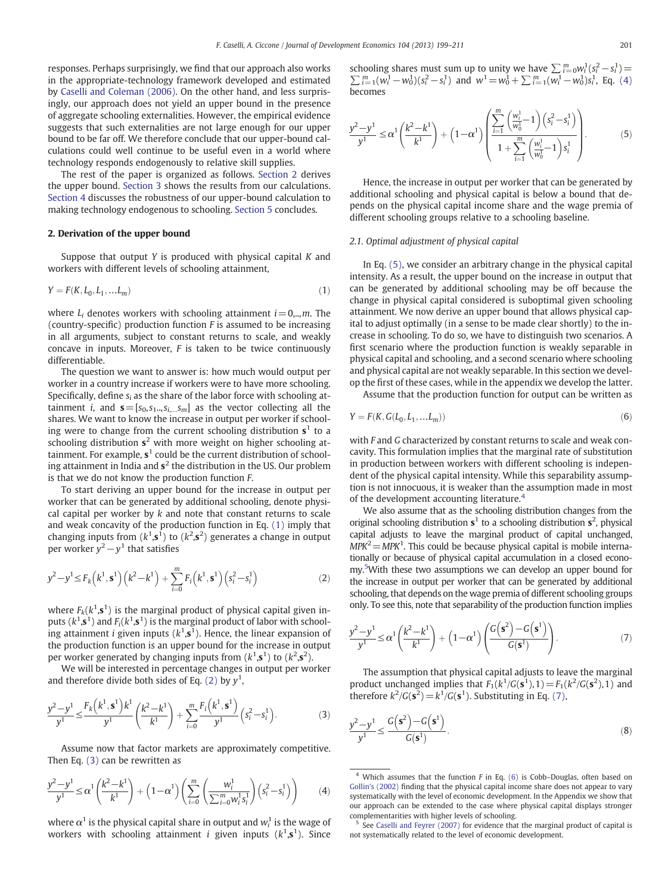<span id="page-2-0"></span>responses. Perhaps surprisingly, we find that our approach also works in the appropriate-technology framework developed and estimated by [Caselli and Coleman \(2006\).](#page-11-0) On the other hand, and less surprisingly, our approach does not yield an upper bound in the presence of aggregate schooling externalities. However, the empirical evidence suggests that such externalities are not large enough for our upper bound to be far off. We therefore conclude that our upper-bound calculations could well continue to be useful even in a world where technology responds endogenously to relative skill supplies.

The rest of the paper is organized as follows. Section 2 derives the upper bound. [Section 3](#page-4-0) shows the results from our calculations. [Section 4](#page-6-0) discusses the robustness of our upper-bound calculation to making technology endogenous to schooling. [Section 5](#page-7-0) concludes.

#### 2. Derivation of the upper bound

Suppose that output Y is produced with physical capital K and workers with different levels of schooling attainment,

$$
Y = F(K, L_0, L_1, \dots, L_m)
$$
\n(1)

where  $L_i$  denotes workers with schooling attainment  $i=0,...,m$ . The (country-specific) production function F is assumed to be increasing in all arguments, subject to constant returns to scale, and weakly concave in inputs. Moreover, F is taken to be twice continuously differentiable.

The question we want to answer is: how much would output per worker in a country increase if workers were to have more schooling. Specifically, define  $s_i$  as the share of the labor force with schooling attainment *i*, and  $\mathbf{s} = [s_0, s_1, s_i, s_m]$  as the vector collecting all the shares. We want to know the increase in output per worker if schooling were to change from the current schooling distribution  $s^1$  to a schooling distribution  $s^2$  with more weight on higher schooling attainment. For example,  $s<sup>1</sup>$  could be the current distribution of schooling attainment in India and  $s^2$  the distribution in the US. Our problem is that we do not know the production function F.

To start deriving an upper bound for the increase in output per worker that can be generated by additional schooling, denote physical capital per worker by  $k$  and note that constant returns to scale and weak concavity of the production function in Eq. (1) imply that changing inputs from  $(k^1, s^1)$  to  $(k^2, s^2)$  generates a change in output per worker  $y^2 - y^1$  that satisfies

$$
y^{2}-y^{1} \leq F_{k}(k^{1}, \mathbf{s}^{1})(k^{2}-k^{1}) + \sum_{i=0}^{m} F_{i}(k^{1}, \mathbf{s}^{1})(s_{i}^{2}-s_{i}^{1})
$$
 (2)

where  $F_k(k^1,\mathbf{s}^1)$  is the marginal product of physical capital given inputs ( $k^1$ , $\mathbf{s}^1$ ) and  $F_i(k^1,\mathbf{s}^1)$  is the marginal product of labor with schooling attainment *i* given inputs  $(k^1, s^1)$ . Hence, the linear expansion of the production function is an upper bound for the increase in output per worker generated by changing inputs from  $(k^1, s^1)$  to  $(k^2, s^2)$ .

We will be interested in percentage changes in output per worker and therefore divide both sides of Eq. (2) by  $y<sup>1</sup>$ ,

$$
\frac{y^2 - y^1}{y^1} \le \frac{F_k(k^1, \mathbf{s}^1)k^1}{y^1} \left(\frac{k^2 - k^1}{k^1}\right) + \sum_{i=0}^m \frac{F_i(k^1, \mathbf{s}^1)}{y^1} \left(s_i^2 - s_i^1\right).
$$
 (3)

Assume now that factor markets are approximately competitive. Then Eq. (3) can be rewritten as

$$
\frac{y^2 - y^1}{y^1} \le \alpha^1 \left(\frac{k^2 - k^1}{k^1}\right) + \left(1 - \alpha^1\right) \left(\sum_{i=0}^m \left(\frac{w_i^1}{\sum_{i=0}^m w_i^1 s_i^1}\right) \left(s_i^2 - s_i^1\right)\right) \tag{4}
$$

where  $\alpha^1$  is the physical capital share in output and  $w^1_i$  is the wage of workers with schooling attainment *i* given inputs  $(k^1, s^1)$ . Since

schooling shares must sum up to unity we have  $\sum_{i=0}^{m} w_i^1(s_i^2 - s_i^1)$  =  $\sum_{i=1}^{m} (w_i^1 - w_0^1)(s_i^2 - s_i^1)$  and  $w^1 = w_0^1 + \sum_{i=1}^{m} (w_i^1 - w_0^1)s_i^1$ , Eq. (4) becomes

$$
\frac{y^2 - y^1}{y^1} \le \alpha^1 \left(\frac{k^2 - k^1}{k^1}\right) + \left(1 - \alpha^1\right) \left(\frac{\sum_{i=1}^m \left(\frac{w_i^1}{w_0^1} - 1\right) \left(s_i^2 - s_i^1\right)}{1 + \sum_{i=1}^m \left(\frac{w_i^1}{w_0^1} - 1\right) s_i^1}\right). \tag{5}
$$

Hence, the increase in output per worker that can be generated by additional schooling and physical capital is below a bound that depends on the physical capital income share and the wage premia of different schooling groups relative to a schooling baseline.

#### 2.1. Optimal adjustment of physical capital

In Eq. (5), we consider an arbitrary change in the physical capital intensity. As a result, the upper bound on the increase in output that can be generated by additional schooling may be off because the change in physical capital considered is suboptimal given schooling attainment. We now derive an upper bound that allows physical capital to adjust optimally (in a sense to be made clear shortly) to the increase in schooling. To do so, we have to distinguish two scenarios. A first scenario where the production function is weakly separable in physical capital and schooling, and a second scenario where schooling and physical capital are not weakly separable. In this section we develop the first of these cases, while in the appendix we develop the latter.

Assume that the production function for output can be written as

$$
Y = F(K, G(L_0, L_1, ... L_m))
$$
\n(6)

with F and G characterized by constant returns to scale and weak concavity. This formulation implies that the marginal rate of substitution in production between workers with different schooling is independent of the physical capital intensity. While this separability assumption is not innocuous, it is weaker than the assumption made in most of the development accounting literature.<sup>4</sup>

We also assume that as the schooling distribution changes from the original schooling distribution  $s^1$  to a schooling distribution  $s^2$ , physical capital adjusts to leave the marginal product of capital unchanged,  $MPK<sup>2</sup> = MPK<sup>1</sup>$ . This could be because physical capital is mobile internationally or because of physical capital accumulation in a closed economy.<sup>5</sup> With these two assumptions we can develop an upper bound for the increase in output per worker that can be generated by additional schooling, that depends on the wage premia of different schooling groups only. To see this, note that separability of the production function implies

$$
\frac{y^2 - y^1}{y^1} \le \alpha^1 \left(\frac{k^2 - k^1}{k^1}\right) + \left(1 - \alpha^1\right) \left(\frac{G\left(\mathbf{s}^2\right) - G\left(\mathbf{s}^1\right)}{G\left(\mathbf{s}^1\right)}\right). \tag{7}
$$

The assumption that physical capital adjusts to leave the marginal product unchanged implies that  $F_1(k^1/G(\mathbf{s}^1), 1) = F_1(k^2/G(\mathbf{s}^2), 1)$  and therefore  $k^2/G(\mathbf{s}^2) = k^1/G(\mathbf{s}^1)$ . Substituting in Eq. (7),

$$
\frac{y^2 - y^1}{y^1} \le \frac{G\left(\mathbf{s}^2\right) - G\left(\mathbf{s}^1\right)}{G\left(\mathbf{s}^1\right)}.\tag{8}
$$

 $4$  Which assumes that the function F in Eq. (6) is Cobb-Douglas, often based on [Gollin's \(2002\)](#page-11-0) finding that the physical capital income share does not appear to vary systematically with the level of economic development. In the Appendix we show that our approach can be extended to the case where physical capital displays stronger complementarities with higher levels of schooling.

<sup>5</sup> See [Caselli and Feyrer \(2007\)](#page-11-0) for evidence that the marginal product of capital is not systematically related to the level of economic development.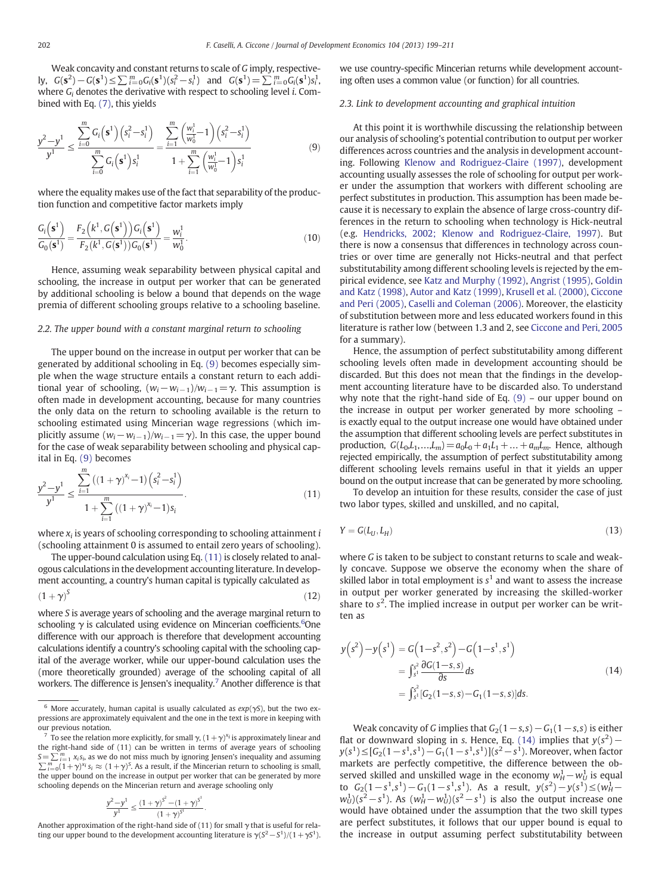<span id="page-3-0"></span>Weak concavity and constant returns to scale of G imply, respectively,  $G(\mathbf{s}^2) - G(\mathbf{s}^1) \le \sum_{i=0}^m G_i(\mathbf{s}^1)(s_i^2 - s_i^1)$  and  $G(\mathbf{s}^1) = \sum_{i=0}^m G_i(\mathbf{s}^1)s_i^1$ , where  $G_i$  denotes the derivative with respect to schooling level *i*. Combined with Eq. [\(7\),](#page-2-0) this yields

$$
\frac{y^2 - y^1}{y^1} \le \frac{\sum_{i=0}^m G_i(\mathbf{s}^1)(s_i^2 - s_i^1)}{\sum_{i=0}^m G_i(\mathbf{s}^1)s_i^1} = \frac{\sum_{i=1}^m \left(\frac{w_i^1}{w_0^1} - 1\right)(s_i^2 - s_i^1)}{1 + \sum_{i=1}^m \left(\frac{w_i^1}{w_0^1} - 1\right)s_i^1}
$$
(9)

where the equality makes use of the fact that separability of the production function and competitive factor markets imply

$$
\frac{G_i(s^1)}{G_0(s^1)} = \frac{F_2(k^1, G(s^1))G_i(s^1)}{F_2(k^1, G(s^1))G_0(s^1)} = \frac{w_i^1}{w_0^1}.
$$
\n(10)

Hence, assuming weak separability between physical capital and schooling, the increase in output per worker that can be generated by additional schooling is below a bound that depends on the wage premia of different schooling groups relative to a schooling baseline.

#### 2.2. The upper bound with a constant marginal return to schooling

The upper bound on the increase in output per worker that can be generated by additional schooling in Eq. (9) becomes especially simple when the wage structure entails a constant return to each additional year of schooling,  $(w_i-w_{i-1})/w_{i-1}=\gamma$ . This assumption is often made in development accounting, because for many countries the only data on the return to schooling available is the return to schooling estimated using Mincerian wage regressions (which implicitly assume  $(w_i-w_{i-1})/w_{i-1}=\gamma$ ). In this case, the upper bound for the case of weak separability between schooling and physical capital in Eq. (9) becomes

$$
\frac{y^2 - y^1}{y^1} \le \frac{\sum_{i=1}^m ((1+\gamma)^{x_i} - 1) \left( s_i^2 - s_i^1 \right)}{1 + \sum_{i=1}^m ((1+\gamma)^{x_i} - 1) s_i}.
$$
\n(11)

where  $x_i$  is years of schooling corresponding to schooling attainment  $i$ (schooling attainment 0 is assumed to entail zero years of schooling).

The upper-bound calculation using Eq. (11) is closely related to analogous calculations in the development accounting literature. In development accounting, a country's human capital is typically calculated as  $(1 + \gamma)^S$  (12)

where S is average years of schooling and the average marginal return to schooling  $\gamma$  is calculated using evidence on Mincerian coefficients.<sup>6</sup>One difference with our approach is therefore that development accounting calculations identify a country's schooling capital with the schooling capital of the average worker, while our upper-bound calculation uses the (more theoretically grounded) average of the schooling capital of all workers. The difference is Jensen's inequality.<sup>7</sup> Another difference is that

$$
\frac{y^2-y^1}{y^1}\leq \frac{\left(1+\gamma\right)^{S^2} - \left(1+\gamma\right)^{S^1}}{\left(1+\gamma\right)^{S^1}}.
$$

Another approximation of the right-hand side of (11) for small  $\gamma$  that is useful for relating our upper bound to the development accounting literature is  $\gamma(S^2-S^1)/(1+\gamma S^1)$ .

we use country-specific Mincerian returns while development accounting often uses a common value (or function) for all countries.

#### 2.3. Link to development accounting and graphical intuition

At this point it is worthwhile discussing the relationship between our analysis of schooling's potential contribution to output per worker differences across countries and the analysis in development accounting. Following [Klenow and Rodriguez-Claire \(1997\),](#page-12-0) development accounting usually assesses the role of schooling for output per worker under the assumption that workers with different schooling are perfect substitutes in production. This assumption has been made because it is necessary to explain the absence of large cross-country differences in the return to schooling when technology is Hick-neutral (e.g. [Hendricks, 2002; Klenow and Rodriguez-Claire, 1997\)](#page-12-0). But there is now a consensus that differences in technology across countries or over time are generally not Hicks-neutral and that perfect substitutability among different schooling levels is rejected by the empirical evidence, see [Katz and Murphy \(1992\)](#page-12-0), [Angrist \(1995\),](#page-11-0) [Goldin](#page-11-0) [and Katz \(1998\)](#page-11-0), [Autor and Katz \(1999\),](#page-11-0) [Krusell et al. \(2000\)](#page-12-0), [Ciccone](#page-11-0) [and Peri \(2005\),](#page-11-0) [Caselli and Coleman \(2006\)](#page-11-0). Moreover, the elasticity of substitution between more and less educated workers found in this literature is rather low (between 1.3 and 2, see [Ciccone and Peri, 2005](#page-11-0) for a summary).

Hence, the assumption of perfect substitutability among different schooling levels often made in development accounting should be discarded. But this does not mean that the findings in the development accounting literature have to be discarded also. To understand why note that the right-hand side of Eq.  $(9)$  – our upper bound on the increase in output per worker generated by more schooling – is exactly equal to the output increase one would have obtained under the assumption that different schooling levels are perfect substitutes in production,  $G(L_0, L_1, ..., L_m) = a_0L_0 + a_1L_1 + ... + a_mL_m$ . Hence, although rejected empirically, the assumption of perfect substitutability among different schooling levels remains useful in that it yields an upper bound on the output increase that can be generated by more schooling.

To develop an intuition for these results, consider the case of just two labor types, skilled and unskilled, and no capital,

$$
Y = G(L_U, L_H) \tag{13}
$$

where G is taken to be subject to constant returns to scale and weakly concave. Suppose we observe the economy when the share of skilled labor in total employment is  $s<sup>1</sup>$  and want to assess the increase in output per worker generated by increasing the skilled-worker share to  $s^2$ . The implied increase in output per worker can be written as

$$
y(s^2) - y(s^1) = G(1-s^2, s^2) - G(1-s^1, s^1)
$$
  
= 
$$
\int_{s^1}^{s^2} \frac{\partial G(1-s, s)}{\partial s} ds
$$
  
= 
$$
\int_{s^1}^{s^2} [G_2(1-s, s) - G_1(1-s, s)] ds.
$$
 (14)

Weak concavity of G implies that  $G_2(1-s, s) - G_1(1-s, s)$  is either flat or downward sloping in s. Hence, Eq. (14) implies that  $y(s^2)$  –  $y(s^1) \leq [G_2(1-s^1,s^1) - G_1(1-s^1,s^1)](s^2-s^1)$ . Moreover, when factor markets are perfectly competitive, the difference between the observed skilled and unskilled wage in the economy  $w_H^1 - w_U^1$  is equal to  $G_2(1-s^1, s^1) - G_1(1-s^1, s^1)$ . As a result,  $y(s^2) - y(s^1) \leq (w_H^1$  $w_U^1$ )( $s^2 - s^1$ ). As  $(w_H^1 - w_U^1)(s^2 - s^1)$  is also the output increase one would have obtained under the assumption that the two skill types are perfect substitutes, it follows that our upper bound is equal to the increase in output assuming perfect substitutability between

<sup>&</sup>lt;sup>6</sup> More accurately, human capital is usually calculated as  $exp(\gamma S)$ , but the two expressions are approximately equivalent and the one in the text is more in keeping with our previous notation.

<sup>&</sup>lt;sup>7</sup> To see the relation more explicitly, for small  $\gamma$ ,  $(1 + \gamma)^{x_i}$  is approximately linear and the right-hand side of (11) can be written in terms of average years of schooling  $S=\sum_{i=1}^m x_i s_i$ , as we do not miss much by ignoring Jensen's inequality and assuming  $\sum_{i=0}^{m} (1+\gamma)^{x_i} s_i \approx (1+\gamma)^S$ . As a result, if the Mincerian return to schooling is small, the upper bound on the increase in output per worker that can be generated by more schooling depends on the Mincerian return and average schooling only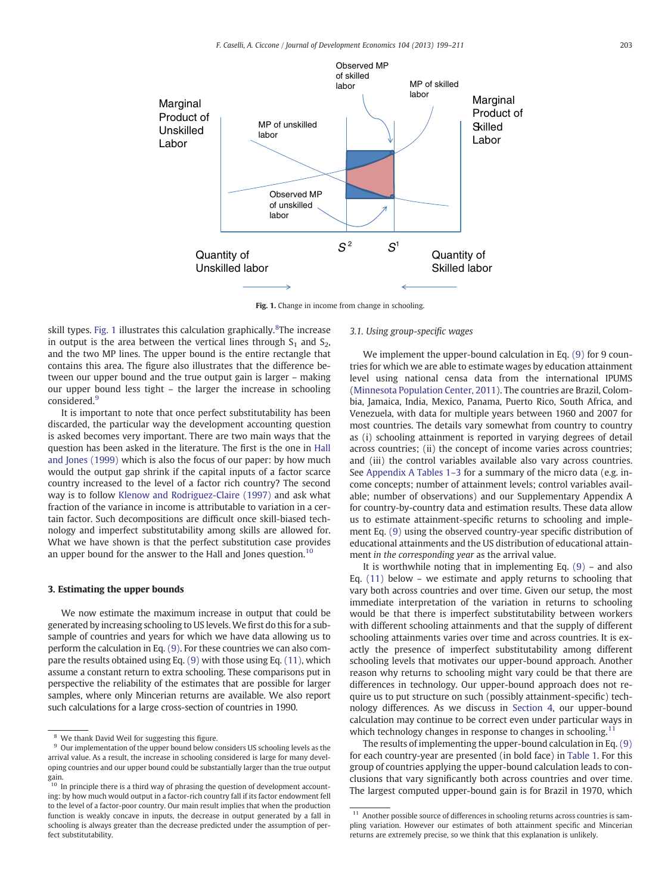<span id="page-4-0"></span>

Fig. 1. Change in income from change in schooling.

skill types. Fig. 1 illustrates this calculation graphically.<sup>8</sup>The increase in output is the area between the vertical lines through  $S_1$  and  $S_2$ , and the two MP lines. The upper bound is the entire rectangle that contains this area. The figure also illustrates that the difference between our upper bound and the true output gain is larger – making our upper bound less tight – the larger the increase in schooling considered.<sup>9</sup>

It is important to note that once perfect substitutability has been discarded, the particular way the development accounting question is asked becomes very important. There are two main ways that the question has been asked in the literature. The first is the one in [Hall](#page-11-0) [and Jones \(1999\)](#page-11-0) which is also the focus of our paper: by how much would the output gap shrink if the capital inputs of a factor scarce country increased to the level of a factor rich country? The second way is to follow [Klenow and Rodriguez-Claire \(1997\)](#page-12-0) and ask what fraction of the variance in income is attributable to variation in a certain factor. Such decompositions are difficult once skill-biased technology and imperfect substitutability among skills are allowed for. What we have shown is that the perfect substitution case provides an upper bound for the answer to the Hall and Jones question.<sup>10</sup>

#### 3. Estimating the upper bounds

We now estimate the maximum increase in output that could be generated by increasing schooling to US levels.We first do this for a subsample of countries and years for which we have data allowing us to perform the calculation in Eq. [\(9\).](#page-3-0) For these countries we can also compare the results obtained using Eq. [\(9\)](#page-3-0) with those using Eq. [\(11\),](#page-3-0) which assume a constant return to extra schooling. These comparisons put in perspective the reliability of the estimates that are possible for larger samples, where only Mincerian returns are available. We also report such calculations for a large cross-section of countries in 1990.

#### 3.1. Using group-specific wages

We implement the upper-bound calculation in Eq. [\(9\)](#page-3-0) for 9 countries for which we are able to estimate wages by education attainment level using national censa data from the international IPUMS [\(Minnesota Population Center, 2011\)](#page-12-0). The countries are Brazil, Colombia, Jamaica, India, Mexico, Panama, Puerto Rico, South Africa, and Venezuela, with data for multiple years between 1960 and 2007 for most countries. The details vary somewhat from country to country as (i) schooling attainment is reported in varying degrees of detail across countries; (ii) the concept of income varies across countries; and (iii) the control variables available also vary across countries. See [Appendix A Tables 1](#page-9-0)–3 for a summary of the micro data (e.g. income concepts; number of attainment levels; control variables available; number of observations) and our Supplementary Appendix A for country-by-country data and estimation results. These data allow us to estimate attainment-specific returns to schooling and implement Eq. [\(9\)](#page-3-0) using the observed country-year specific distribution of educational attainments and the US distribution of educational attainment in the corresponding year as the arrival value.

It is worthwhile noting that in implementing Eq.  $(9)$  – and also Eq.  $(11)$  below – we estimate and apply returns to schooling that vary both across countries and over time. Given our setup, the most immediate interpretation of the variation in returns to schooling would be that there is imperfect substitutability between workers with different schooling attainments and that the supply of different schooling attainments varies over time and across countries. It is exactly the presence of imperfect substitutability among different schooling levels that motivates our upper-bound approach. Another reason why returns to schooling might vary could be that there are differences in technology. Our upper-bound approach does not require us to put structure on such (possibly attainment-specific) technology differences. As we discuss in [Section 4,](#page-6-0) our upper-bound calculation may continue to be correct even under particular ways in which technology changes in response to changes in schooling.<sup>11</sup>

The results of implementing the upper-bound calculation in Eq. [\(9\)](#page-3-0) for each country-year are presented (in bold face) in [Table 1](#page-5-0). For this group of countries applying the upper-bound calculation leads to conclusions that vary significantly both across countries and over time. The largest computed upper-bound gain is for Brazil in 1970, which

<sup>8</sup> We thank David Weil for suggesting this figure.

<sup>&</sup>lt;sup>9</sup> Our implementation of the upper bound below considers US schooling levels as the arrival value. As a result, the increase in schooling considered is large for many developing countries and our upper bound could be substantially larger than the true output

gain.<br><sup>10</sup> In principle there is a third way of phrasing the question of development accounting: by how much would output in a factor-rich country fall if its factor endowment fell to the level of a factor-poor country. Our main result implies that when the production function is weakly concave in inputs, the decrease in output generated by a fall in schooling is always greater than the decrease predicted under the assumption of perfect substitutability.

 $11$  Another possible source of differences in schooling returns across countries is sampling variation. However our estimates of both attainment specific and Mincerian returns are extremely precise, so we think that this explanation is unlikely.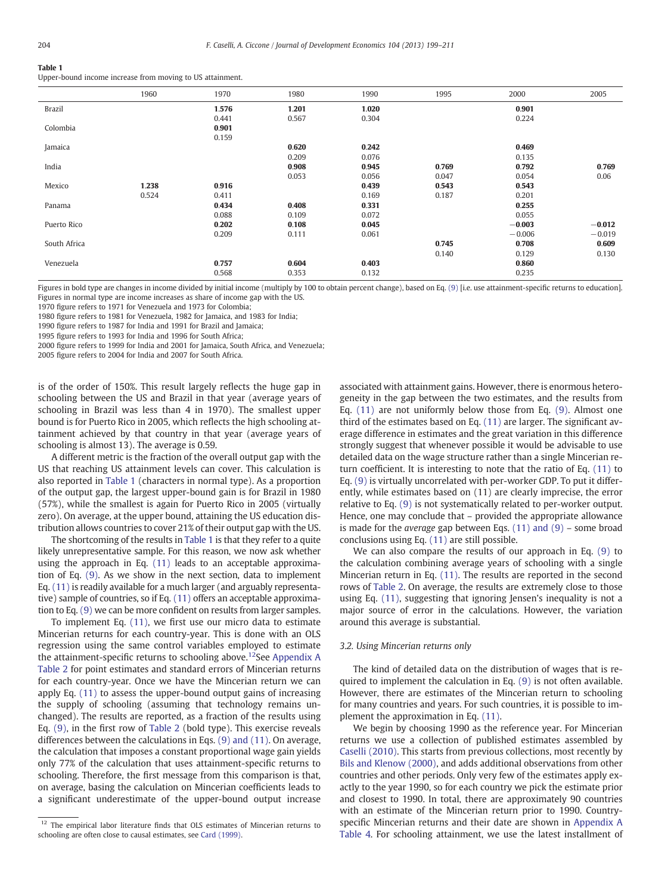#### <span id="page-5-0"></span>Table 1

Upper-bound income increase from moving to US attainment.

|               | 1960  | 1970  | 1980  | 1990  | 1995  | 2000     | 2005     |
|---------------|-------|-------|-------|-------|-------|----------|----------|
| <b>Brazil</b> |       | 1.576 | 1.201 | 1.020 |       | 0.901    |          |
|               |       | 0.441 | 0.567 | 0.304 |       | 0.224    |          |
| Colombia      |       | 0.901 |       |       |       |          |          |
|               |       | 0.159 |       |       |       |          |          |
| Jamaica       |       |       | 0.620 | 0.242 |       | 0.469    |          |
|               |       |       | 0.209 | 0.076 |       | 0.135    |          |
| India         |       |       | 0.908 | 0.945 | 0.769 | 0.792    | 0.769    |
|               |       |       | 0.053 | 0.056 | 0.047 | 0.054    | 0.06     |
| Mexico        | 1.238 | 0.916 |       | 0.439 | 0.543 | 0.543    |          |
|               | 0.524 | 0.411 |       | 0.169 | 0.187 | 0.201    |          |
| Panama        |       | 0.434 | 0.408 | 0.331 |       | 0.255    |          |
|               |       | 0.088 | 0.109 | 0.072 |       | 0.055    |          |
| Puerto Rico   |       | 0.202 | 0.108 | 0.045 |       | $-0.003$ | $-0.012$ |
|               |       | 0.209 | 0.111 | 0.061 |       | $-0.006$ | $-0.019$ |
| South Africa  |       |       |       |       | 0.745 | 0.708    | 0.609    |
|               |       |       |       |       | 0.140 | 0.129    | 0.130    |
| Venezuela     |       | 0.757 | 0.604 | 0.403 |       | 0.860    |          |
|               |       | 0.568 | 0.353 | 0.132 |       | 0.235    |          |

Figures in bold type are changes in income divided by initial income (multiply by 100 to obtain percent change), based on Eq. [\(9\)](#page-3-0) [i.e. use attainment-specific returns to education]. Figures in normal type are income increases as share of income gap with the US.

1970 figure refers to 1971 for Venezuela and 1973 for Colombia;

1980 figure refers to 1981 for Venezuela, 1982 for Jamaica, and 1983 for India;

1990 figure refers to 1987 for India and 1991 for Brazil and Jamaica;

1995 figure refers to 1993 for India and 1996 for South Africa;

2000 figure refers to 1999 for India and 2001 for Jamaica, South Africa, and Venezuela;

2005 figure refers to 2004 for India and 2007 for South Africa.

is of the order of 150%. This result largely reflects the huge gap in schooling between the US and Brazil in that year (average years of schooling in Brazil was less than 4 in 1970). The smallest upper bound is for Puerto Rico in 2005, which reflects the high schooling attainment achieved by that country in that year (average years of schooling is almost 13). The average is 0.59.

A different metric is the fraction of the overall output gap with the US that reaching US attainment levels can cover. This calculation is also reported in Table 1 (characters in normal type). As a proportion of the output gap, the largest upper-bound gain is for Brazil in 1980 (57%), while the smallest is again for Puerto Rico in 2005 (virtually zero). On average, at the upper bound, attaining the US education distribution allows countries to cover 21% of their output gap with the US.

The shortcoming of the results in Table 1 is that they refer to a quite likely unrepresentative sample. For this reason, we now ask whether using the approach in Eq. [\(11\)](#page-3-0) leads to an acceptable approximation of Eq. [\(9\)](#page-3-0). As we show in the next section, data to implement Eq. [\(11\)](#page-3-0) is readily available for a much larger (and arguably representative) sample of countries, so if Eq. [\(11\)](#page-3-0) offers an acceptable approximation to Eq. [\(9\)](#page-3-0) we can be more confident on results from larger samples.

To implement Eq. [\(11\)](#page-3-0), we first use our micro data to estimate Mincerian returns for each country-year. This is done with an OLS regression using the same control variables employed to estimate the attainment-specific returns to schooling above.<sup>12</sup>See [Appendix A](#page-9-0) [Table 2](#page-9-0) for point estimates and standard errors of Mincerian returns for each country-year. Once we have the Mincerian return we can apply Eq. [\(11\)](#page-3-0) to assess the upper-bound output gains of increasing the supply of schooling (assuming that technology remains unchanged). The results are reported, as a fraction of the results using Eq. [\(9\)](#page-3-0), in the first row of [Table 2](#page-6-0) (bold type). This exercise reveals differences between the calculations in Eqs. [\(9\) and \(11\).](#page-3-0) On average, the calculation that imposes a constant proportional wage gain yields only 77% of the calculation that uses attainment-specific returns to schooling. Therefore, the first message from this comparison is that, on average, basing the calculation on Mincerian coefficients leads to a significant underestimate of the upper-bound output increase associated with attainment gains. However, there is enormous heterogeneity in the gap between the two estimates, and the results from Eq. [\(11\)](#page-3-0) are not uniformly below those from Eq. [\(9\)](#page-3-0). Almost one third of the estimates based on Eq. [\(11\)](#page-3-0) are larger. The significant average difference in estimates and the great variation in this difference strongly suggest that whenever possible it would be advisable to use detailed data on the wage structure rather than a single Mincerian return coefficient. It is interesting to note that the ratio of Eq. [\(11\)](#page-3-0) to Eq. [\(9\)](#page-3-0) is virtually uncorrelated with per-worker GDP. To put it differently, while estimates based on (11) are clearly imprecise, the error relative to Eq. [\(9\)](#page-3-0) is not systematically related to per-worker output. Hence, one may conclude that – provided the appropriate allowance is made for the *average* gap between Eqs.  $(11)$  and  $(9)$  – some broad conclusions using Eq. [\(11\)](#page-3-0) are still possible.

We can also compare the results of our approach in Eq. [\(9\)](#page-3-0) to the calculation combining average years of schooling with a single Mincerian return in Eq. [\(11\).](#page-3-0) The results are reported in the second rows of [Table 2](#page-6-0). On average, the results are extremely close to those using Eq. [\(11\),](#page-3-0) suggesting that ignoring Jensen's inequality is not a major source of error in the calculations. However, the variation around this average is substantial.

#### 3.2. Using Mincerian returns only

The kind of detailed data on the distribution of wages that is required to implement the calculation in Eq. [\(9\)](#page-3-0) is not often available. However, there are estimates of the Mincerian return to schooling for many countries and years. For such countries, it is possible to implement the approximation in Eq. [\(11\).](#page-3-0)

We begin by choosing 1990 as the reference year. For Mincerian returns we use a collection of published estimates assembled by [Caselli \(2010\).](#page-11-0) This starts from previous collections, most recently by [Bils and Klenow \(2000\)](#page-11-0), and adds additional observations from other countries and other periods. Only very few of the estimates apply exactly to the year 1990, so for each country we pick the estimate prior and closest to 1990. In total, there are approximately 90 countries with an estimate of the Mincerian return prior to 1990. Countryspecific Mincerian returns and their date are shown in [Appendix A](#page-10-0) [Table 4](#page-10-0). For schooling attainment, we use the latest installment of

<sup>&</sup>lt;sup>12</sup> The empirical labor literature finds that OLS estimates of Mincerian returns to schooling are often close to causal estimates, see [Card \(1999\).](#page-11-0)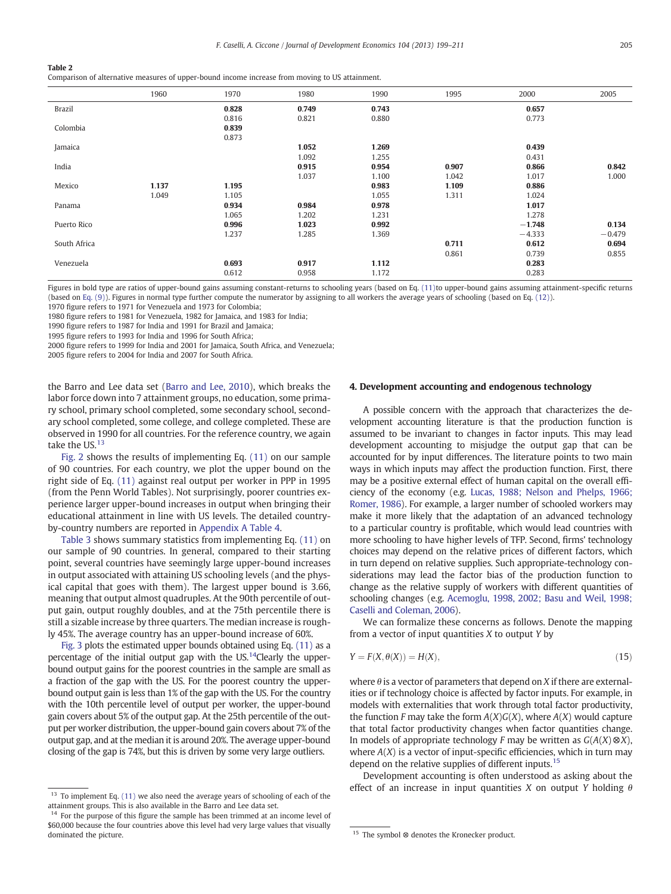<span id="page-6-0"></span>Comparison of alternative measures of upper-bound income increase from moving to US attainment.

|               | 1960  | 1970  | 1980  | 1990  | 1995  | 2000     | 2005     |
|---------------|-------|-------|-------|-------|-------|----------|----------|
| <b>Brazil</b> |       | 0.828 | 0.749 | 0.743 |       | 0.657    |          |
|               |       | 0.816 | 0.821 | 0.880 |       | 0.773    |          |
| Colombia      |       | 0.839 |       |       |       |          |          |
|               |       | 0.873 |       |       |       |          |          |
| Jamaica       |       |       | 1.052 | 1.269 |       | 0.439    |          |
|               |       |       | 1.092 | 1.255 |       | 0.431    |          |
| India         |       |       | 0.915 | 0.954 | 0.907 | 0.866    | 0.842    |
|               |       |       | 1.037 | 1.100 | 1.042 | 1.017    | 1.000    |
| Mexico        | 1.137 | 1.195 |       | 0.983 | 1.109 | 0.886    |          |
|               | 1.049 | 1.105 |       | 1.055 | 1.311 | 1.024    |          |
| Panama        |       | 0.934 | 0.984 | 0.978 |       | 1.017    |          |
|               |       | 1.065 | 1.202 | 1.231 |       | 1.278    |          |
| Puerto Rico   |       | 0.996 | 1.023 | 0.992 |       | $-1.748$ | 0.134    |
|               |       | 1.237 | 1.285 | 1.369 |       | $-4.333$ | $-0.479$ |
| South Africa  |       |       |       |       | 0.711 | 0.612    | 0.694    |
|               |       |       |       |       | 0.861 | 0.739    | 0.855    |
| Venezuela     |       | 0.693 | 0.917 | 1.112 |       | 0.283    |          |
|               |       | 0.612 | 0.958 | 1.172 |       | 0.283    |          |

Figures in bold type are ratios of upper-bound gains assuming constant-returns to schooling years (based on Eq. [\(11\)t](#page-3-0)o upper-bound gains assuming attainment-specific returns (based on [Eq. \(9\)](#page-3-0)). Figures in normal type further compute the numerator by assigning to all workers the average years of schooling (based on Eq. [\(12\)](#page-3-0)). 1970 figure refers to 1971 for Venezuela and 1973 for Colombia;

1980 figure refers to 1981 for Venezuela, 1982 for Jamaica, and 1983 for India;

1990 figure refers to 1987 for India and 1991 for Brazil and Jamaica;

1995 figure refers to 1993 for India and 1996 for South Africa;

2000 figure refers to 1999 for India and 2001 for Jamaica, South Africa, and Venezuela;

2005 figure refers to 2004 for India and 2007 for South Africa.

the Barro and Lee data set [\(Barro and Lee, 2010](#page-11-0)), which breaks the labor force down into 7 attainment groups, no education, some primary school, primary school completed, some secondary school, secondary school completed, some college, and college completed. These are observed in 1990 for all countries. For the reference country, we again take the US.<sup>13</sup>

[Fig. 2](#page-7-0) shows the results of implementing Eq. [\(11\)](#page-3-0) on our sample of 90 countries. For each country, we plot the upper bound on the right side of Eq. [\(11\)](#page-3-0) against real output per worker in PPP in 1995 (from the Penn World Tables). Not surprisingly, poorer countries experience larger upper-bound increases in output when bringing their educational attainment in line with US levels. The detailed countryby-country numbers are reported in [Appendix A Table 4](#page-10-0).

[Table 3](#page-7-0) shows summary statistics from implementing Eq. [\(11\)](#page-3-0) on our sample of 90 countries. In general, compared to their starting point, several countries have seemingly large upper-bound increases in output associated with attaining US schooling levels (and the physical capital that goes with them). The largest upper bound is 3.66, meaning that output almost quadruples. At the 90th percentile of output gain, output roughly doubles, and at the 75th percentile there is still a sizable increase by three quarters. The median increase is roughly 45%. The average country has an upper-bound increase of 60%.

[Fig. 3](#page-7-0) plots the estimated upper bounds obtained using Eq. [\(11\)](#page-3-0) as a percentage of the initial output gap with the US.<sup>14</sup>Clearly the upperbound output gains for the poorest countries in the sample are small as a fraction of the gap with the US. For the poorest country the upperbound output gain is less than 1% of the gap with the US. For the country with the 10th percentile level of output per worker, the upper-bound gain covers about 5% of the output gap. At the 25th percentile of the output per worker distribution, the upper-bound gain covers about 7% of the output gap, and at the median it is around 20%. The average upper-bound closing of the gap is 74%, but this is driven by some very large outliers.

#### 4. Development accounting and endogenous technology

A possible concern with the approach that characterizes the development accounting literature is that the production function is assumed to be invariant to changes in factor inputs. This may lead development accounting to misjudge the output gap that can be accounted for by input differences. The literature points to two main ways in which inputs may affect the production function. First, there may be a positive external effect of human capital on the overall efficiency of the economy (e.g. [Lucas, 1988; Nelson and Phelps, 1966;](#page-12-0) [Romer, 1986\)](#page-12-0). For example, a larger number of schooled workers may make it more likely that the adaptation of an advanced technology to a particular country is profitable, which would lead countries with more schooling to have higher levels of TFP. Second, firms' technology choices may depend on the relative prices of different factors, which in turn depend on relative supplies. Such appropriate-technology considerations may lead the factor bias of the production function to change as the relative supply of workers with different quantities of schooling changes (e.g. [Acemoglu, 1998, 2002; Basu and Weil, 1998;](#page-11-0) [Caselli and Coleman, 2006\)](#page-11-0).

We can formalize these concerns as follows. Denote the mapping from a vector of input quantities  $X$  to output  $Y$  by

$$
Y = F(X, \theta(X)) = H(X),\tag{15}
$$

where  $\theta$  is a vector of parameters that depend on X if there are externalities or if technology choice is affected by factor inputs. For example, in models with externalities that work through total factor productivity, the function F may take the form  $A(X)G(X)$ , where  $A(X)$  would capture that total factor productivity changes when factor quantities change. In models of appropriate technology F may be written as  $G(A(X) \otimes X)$ , where  $A(X)$  is a vector of input-specific efficiencies, which in turn may depend on the relative supplies of different inputs.<sup>15</sup>

Development accounting is often understood as asking about the  $\frac{13}{13}$  To implement Eq. [\(11\)](#page-3-0) we also need the average years of schooling of each of the<br><sup>13</sup> To imput quantities X on output Y holding  $\theta$ 

attainment groups. This is also available in the Barro and Lee data set.

 $14$  For the purpose of this figure the sample has been trimmed at an income level of \$60,000 because the four countries above this level had very large values that visually dominated the picture. 15 The symbol ⊗ denotes the Kronecker product.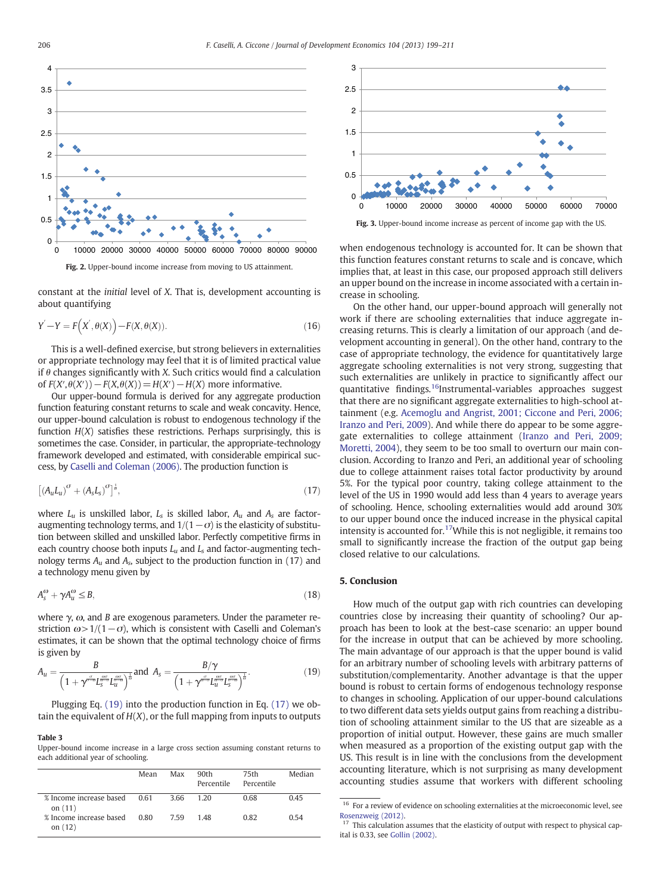

constant at the initial level of X. That is, development accounting is about quantifying

$$
Y' - Y = F(X', \theta(X)) - F(X, \theta(X)).
$$
\n(16)

This is a well-defined exercise, but strong believers in externalities or appropriate technology may feel that it is of limited practical value if  $\theta$  changes significantly with X. Such critics would find a calculation of  $F(X', \theta(X')) - F(X, \theta(X)) = H(X') - H(X)$  more informative.

Our upper-bound formula is derived for any aggregate production function featuring constant returns to scale and weak concavity. Hence, our upper-bound calculation is robust to endogenous technology if the function  $H(X)$  satisfies these restrictions. Perhaps surprisingly, this is sometimes the case. Consider, in particular, the appropriate-technology framework developed and estimated, with considerable empirical success, by [Caselli and Coleman \(2006\)](#page-11-0). The production function is

$$
\left[ \left( A_u L_u \right)^{\sigma} + \left( A_s L_s \right)^{\sigma} \right]^{\frac{1}{\sigma}},\tag{17}
$$

where  $L_u$  is unskilled labor,  $L_s$  is skilled labor,  $A_u$  and  $A_s$  are factoraugmenting technology terms, and  $1/(1-\sigma)$  is the elasticity of substitution between skilled and unskilled labor. Perfectly competitive firms in each country choose both inputs  $L_u$  and  $L_s$  and factor-augmenting technology terms  $A_u$  and  $A_s$ , subject to the production function in (17) and a technology menu given by

$$
A_s^{\omega} + \gamma A_u^{\omega} \le B,\tag{18}
$$

where  $γ$ ,  $ω$ , and *B* are exogenous parameters. Under the parameter restriction  $\omega$ >1/(1− $\sigma$ ), which is consistent with Caselli and Coleman's estimates, it can be shown that the optimal technology choice of firms is given by

$$
A_u = \frac{B}{\left(1 + \gamma^{\frac{\alpha\sigma}{\sigma_0}} L_{\overline{s}}^{\frac{\alpha\sigma}{\sigma_0}} L_{u}^{\frac{\alpha\sigma}{\sigma_0}}\right)^{\frac{1}{\alpha}}} \text{ and } A_s = \frac{B/\gamma}{\left(1 + \gamma^{\frac{\alpha}{\sigma_0}} L_{u}^{\frac{\alpha\sigma}{\sigma_0}} L_{s}^{\frac{\alpha\sigma}{\sigma_0}}\right)^{\frac{1}{\alpha}}}.
$$
(19)

Plugging Eq. (19) into the production function in Eq. (17) we obtain the equivalent of  $H(X)$ , or the full mapping from inputs to outputs

#### Table 3

Upper-bound income increase in a large cross section assuming constant returns to each additional year of schooling.

|                                      | Mean | Max  | 90th<br>Percentile | 75th<br>Percentile | Median |
|--------------------------------------|------|------|--------------------|--------------------|--------|
| % Income increase based<br>on $(11)$ | 0.61 | 3.66 | 1 20               | 0.68               | 0.45   |
| % Income increase based<br>on $(12)$ | 0.80 | 759  | 148                | 0.82               | 0.54   |



when endogenous technology is accounted for. It can be shown that this function features constant returns to scale and is concave, which implies that, at least in this case, our proposed approach still delivers an upper bound on the increase in income associated with a certain increase in schooling.

On the other hand, our upper-bound approach will generally not work if there are schooling externalities that induce aggregate increasing returns. This is clearly a limitation of our approach (and development accounting in general). On the other hand, contrary to the case of appropriate technology, the evidence for quantitatively large aggregate schooling externalities is not very strong, suggesting that such externalities are unlikely in practice to significantly affect our quantitative findings.<sup>16</sup>Instrumental-variables approaches suggest that there are no significant aggregate externalities to high-school attainment (e.g. [Acemoglu and Angrist, 2001; Ciccone and Peri, 2006;](#page-11-0) [Iranzo and Peri, 2009](#page-11-0)). And while there do appear to be some aggregate externalities to college attainment [\(Iranzo and Peri, 2009;](#page-12-0) [Moretti, 2004\)](#page-12-0), they seem to be too small to overturn our main conclusion. According to Iranzo and Peri, an additional year of schooling due to college attainment raises total factor productivity by around 5%. For the typical poor country, taking college attainment to the level of the US in 1990 would add less than 4 years to average years of schooling. Hence, schooling externalities would add around 30% to our upper bound once the induced increase in the physical capital intensity is accounted for.<sup>17</sup>While this is not negligible, it remains too small to significantly increase the fraction of the output gap being closed relative to our calculations.

#### 5. Conclusion

How much of the output gap with rich countries can developing countries close by increasing their quantity of schooling? Our approach has been to look at the best-case scenario: an upper bound for the increase in output that can be achieved by more schooling. The main advantage of our approach is that the upper bound is valid for an arbitrary number of schooling levels with arbitrary patterns of substitution/complementarity. Another advantage is that the upper bound is robust to certain forms of endogenous technology response to changes in schooling. Application of our upper-bound calculations to two different data sets yields output gains from reaching a distribution of schooling attainment similar to the US that are sizeable as a proportion of initial output. However, these gains are much smaller when measured as a proportion of the existing output gap with the US. This result is in line with the conclusions from the development accounting literature, which is not surprising as many development accounting studies assume that workers with different schooling

<span id="page-7-0"></span>

 $^{16}\,$  For a review of evidence on schooling externalities at the microeconomic level, see [Rosenzweig \(2012\).](#page-12-0)

 $17$  This calculation assumes that the elasticity of output with respect to physical capital is 0.33, see [Gollin \(2002\)](#page-11-0).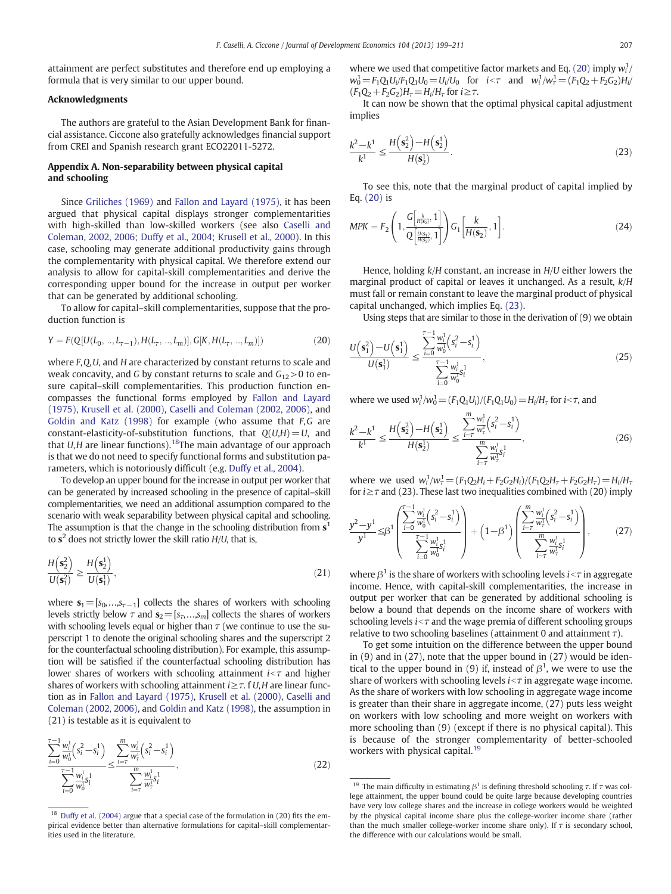attainment are perfect substitutes and therefore end up employing a formula that is very similar to our upper bound.

#### Acknowledgments

The authors are grateful to the Asian Development Bank for financial assistance. Ciccone also gratefully acknowledges financial support from CREI and Spanish research grant ECO22011-5272.

## Appendix A. Non-separability between physical capital and schooling

Since [Griliches \(1969\)](#page-11-0) and [Fallon and Layard \(1975\)](#page-11-0), it has been argued that physical capital displays stronger complementarities with high-skilled than low-skilled workers (see also [Caselli and](#page-11-0) [Coleman, 2002, 2006; Duffy et al., 2004; Krusell et al., 2000](#page-11-0)). In this case, schooling may generate additional productivity gains through the complementarity with physical capital. We therefore extend our analysis to allow for capital-skill complementarities and derive the corresponding upper bound for the increase in output per worker that can be generated by additional schooling.

To allow for capital–skill complementarities, suppose that the production function is

$$
Y = F(Q[U(L_0, ..., L_{\tau-1}), H(L_{\tau}, ..., L_m)], G[K, H(L_{\tau}, ..., L_m)])
$$
\n(20)

where F, Q, U, and H are characterized by constant returns to scale and weak concavity, and G by constant returns to scale and  $G_{12} > 0$  to ensure capital–skill complementarities. This production function encompasses the functional forms employed by [Fallon and Layard](#page-11-0) [\(1975\),](#page-11-0) [Krusell et al. \(2000\)](#page-12-0), [Caselli and Coleman \(2002, 2006\)](#page-11-0), and [Goldin and Katz \(1998\)](#page-11-0) for example (who assume that  $F$ ,  $G$  are constant-elasticity-of-substitution functions, that  $O(U,H)=U$ , and that  $U, H$  are linear functions).<sup>18</sup>The main advantage of our approach is that we do not need to specify functional forms and substitution parameters, which is notoriously difficult (e.g. [Duffy et al., 2004\)](#page-11-0).

To develop an upper bound for the increase in output per worker that can be generated by increased schooling in the presence of capital–skill complementarities, we need an additional assumption compared to the scenario with weak separability between physical capital and schooling. The assumption is that the change in the schooling distribution from  $s<sup>1</sup>$ to  $s^2$  does not strictly lower the skill ratio  $H/U$ , that is,

$$
\frac{H\left(\mathbf{s}_2^2\right)}{U\left(\mathbf{s}_1^2\right)} \ge \frac{H\left(\mathbf{s}_2^1\right)}{U\left(\mathbf{s}_1^1\right)},\tag{21}
$$

where  $s_1=[s_0,...,s_{\tau-1}]$  collects the shares of workers with schooling levels strictly below  $\tau$  and  $\mathbf{s}_2=[s_{\tau_1},...,s_{\tau_m}]$  collects the shares of workers with schooling levels equal or higher than  $\tau$  (we continue to use the superscript 1 to denote the original schooling shares and the superscript 2 for the counterfactual schooling distribution). For example, this assumption will be satisfied if the counterfactual schooling distribution has lower shares of workers with schooling attainment  $i<\tau$  and higher shares of workers with schooling attainment  $i \geq \tau$ . f U, H are linear function as in [Fallon and Layard \(1975\),](#page-11-0) [Krusell et al. \(2000\),](#page-12-0) [Caselli and](#page-11-0) [Coleman \(2002, 2006\)](#page-11-0), and [Goldin and Katz \(1998\)](#page-11-0), the assumption in (21) is testable as it is equivalent to

$$
\frac{\sum_{i=0}^{\tau-1} \frac{w_i^1}{w_0^1} (s_i^2 - s_i^1)}{\sum_{i=0}^{\tau-1} \frac{w_i^1}{w_0^1} s_i^1} \le \frac{\sum_{i=\tau}^m \frac{w_i^1}{w_\tau^1} (s_i^2 - s_i^1)}{\sum_{i=\tau}^m \frac{w_i^1}{w_\tau^1} s_i^1},
$$
\n(22)

where we used that competitive factor markets and Eq. (20) imply  $w_i^1/$  $w_0^1 = F_1 Q_1 U_i / F_1 Q_1 U_0 = U_i / U_0$  for  $i < \tau$  and  $w_i^1 / w_\tau^1 = (F_1 Q_2 + F_2 G_2) H_i / U_0$  $(F_1Q_2 + F_2G_2)H_\tau = H_i/H_\tau$  for  $i \geq \tau$ .

It can now be shown that the optimal physical capital adjustment implies

$$
\frac{k^2 - k^1}{k^1} \le \frac{H\left(\mathbf{s}_2^2\right) - H\left(\mathbf{s}_2^1\right)}{H\left(\mathbf{s}_2^1\right)}.
$$
\n(23)

To see this, note that the marginal product of capital implied by Eq. (20) is

$$
MPK = F_2\left(1, \frac{G\left[\frac{k}{H(\mathbf{s}_2)}, 1\right]}{Q\left[\frac{U(\mathbf{s}_1)}{H(\mathbf{s}_2)}, 1\right]}\right) G_1\left[\frac{k}{H(\mathbf{s}_2)}, 1\right].
$$
\n(24)

Hence, holding k/H constant, an increase in H/U either lowers the marginal product of capital or leaves it unchanged. As a result, k/H must fall or remain constant to leave the marginal product of physical capital unchanged, which implies Eq. (23).

Using steps that are similar to those in the derivation of (9) we obtain

$$
\frac{U(s_1^2) - U(s_1^1)}{U(s_1^1)} \le \frac{\sum_{i=0}^{T-1} \frac{w_i^1}{w_0^1} (s_i^2 - s_i^1)}{\sum_{i=0}^{T-1} \frac{w_i^1}{w_0^1} s_i^1},\tag{25}
$$

where we used  $w_i^1/w_0^1 = (F_1Q_1U_i)/(F_1Q_1U_0) = H_i/H_\tau$  for  $i < \tau$ , and

$$
\frac{k^2 - k^1}{k^1} \le \frac{H\left(\mathbf{s}_2^2\right) - H\left(\mathbf{s}_2^1\right)}{H\left(\mathbf{s}_2^1\right)} \le \frac{\sum_{i=\tau}^m \frac{w_i^1}{w_\tau^1} \left(s_i^2 - s_i^1\right)}{\sum_{i=\tau}^m \frac{w_i^1}{w_\tau^2} s_i^1},\tag{26}
$$

where we used  $w_i^1/w_\tau^1 = (F_1Q_2H_i + F_2G_2H_i)/(F_1Q_2H_\tau + F_2G_2H_\tau) = H_i/H_\tau$ for  $i \geq \tau$  and (23). These last two inequalities combined with (20) imply

$$
\frac{y^2 - y^1}{y^1} \leq \beta^1 \left( \frac{\sum_{i=0}^{T-1} \frac{w_i^1}{w_0^1} \left( s_i^2 - s_i^1 \right)}{\sum_{i=0}^{T-1} \frac{w_i^1}{w_0^1} s_i^1} \right) + \left( 1 - \beta^1 \right) \left( \frac{\sum_{i=T}^{m} \frac{w_i^1}{w_r^1} \left( s_i^2 - s_i^1 \right)}{\sum_{i=T}^{m} \frac{w_i^1}{w_r^1} s_i^1} \right),\tag{27}
$$

where  $\beta^1$  is the share of workers with schooling levels  $i<\tau$  in aggregate income. Hence, with capital-skill complementarities, the increase in output per worker that can be generated by additional schooling is below a bound that depends on the income share of workers with schooling levels  $i<\tau$  and the wage premia of different schooling groups relative to two schooling baselines (attainment 0 and attainment  $\tau$ ).

To get some intuition on the difference between the upper bound in (9) and in (27), note that the upper bound in (27) would be identical to the upper bound in (9) if, instead of  $\beta^1$ , we were to use the share of workers with schooling levels  $i<\tau$  in aggregate wage income. As the share of workers with low schooling in aggregate wage income is greater than their share in aggregate income, (27) puts less weight on workers with low schooling and more weight on workers with more schooling than (9) (except if there is no physical capital). This is because of the stronger complementarity of better-schooled workers with physical capital.<sup>19</sup>

<sup>&</sup>lt;sup>18</sup> [Duffy et al. \(2004\)](#page-11-0) argue that a special case of the formulation in (20) fits the empirical evidence better than alternative formulations for capital–skill complementarities used in the literature.

<sup>&</sup>lt;sup>19</sup> The main difficulty in estimating  $β<sup>1</sup>$  is defining threshold schooling  $τ$ . If  $τ$  was college attainment, the upper bound could be quite large because developing countries have very low college shares and the increase in college workers would be weighted by the physical capital income share plus the college-worker income share (rather than the much smaller college-worker income share only). If  $\tau$  is secondary school, the difference with our calculations would be small.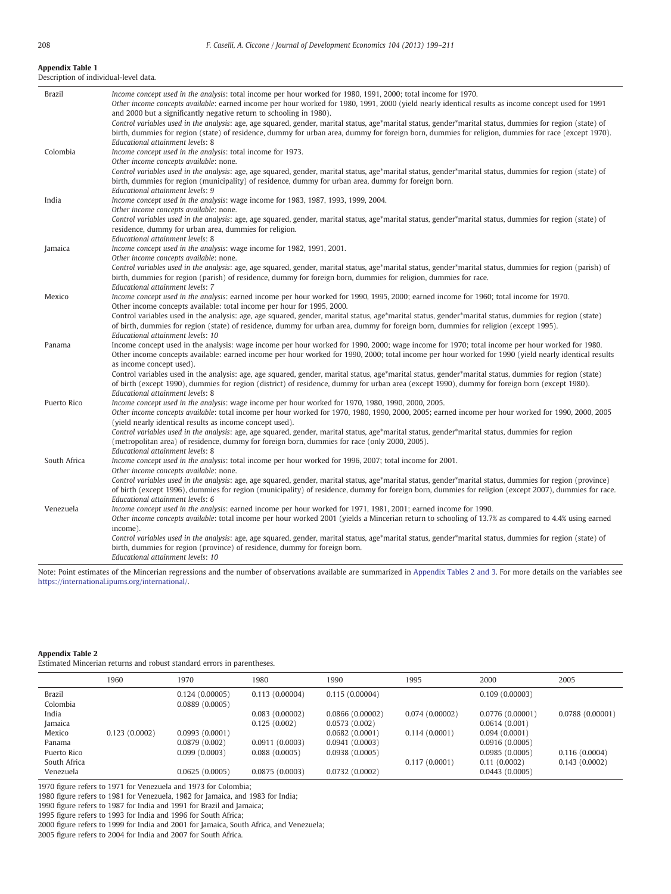#### <span id="page-9-0"></span>Appendix Table 1

Description of individual-level data.

| Brazil       | Income concept used in the analysis: total income per hour worked for 1980, 1991, 2000; total income for 1970.                                                                                                                    |
|--------------|-----------------------------------------------------------------------------------------------------------------------------------------------------------------------------------------------------------------------------------|
|              | Other income concepts available: earned income per hour worked for 1980, 1991, 2000 (yield nearly identical results as income concept used for 1991                                                                               |
|              | and 2000 but a significantly negative return to schooling in 1980).<br>Control variables used in the analysis: age, age squared, gender, marital status, age*marital status, gender*marital status, dummies for region (state) of |
|              | birth, dummies for region (state) of residence, dummy for urban area, dummy for foreign born, dummies for religion, dummies for race (except 1970).                                                                               |
|              | Educational attainment levels: 8                                                                                                                                                                                                  |
| Colombia     | Income concept used in the analysis: total income for 1973.                                                                                                                                                                       |
|              | Other income concepts available: none.                                                                                                                                                                                            |
|              | Control variables used in the analysis: age, age squared, gender, marital status, age*marital status, gender*marital status, dummies for region (state) of                                                                        |
|              | birth, dummies for region (municipality) of residence, dummy for urban area, dummy for foreign born.                                                                                                                              |
|              | Educational attainment levels: 9                                                                                                                                                                                                  |
| India        | Income concept used in the analysis: wage income for 1983, 1987, 1993, 1999, 2004.<br>Other income concepts available: none.                                                                                                      |
|              | Control variables used in the analysis: age, age squared, gender, marital status, age*marital status, gender*marital status, dummies for region (state) of                                                                        |
|              | residence, dummy for urban area, dummies for religion.                                                                                                                                                                            |
|              | Educational attainment levels: 8                                                                                                                                                                                                  |
| Jamaica      | Income concept used in the analysis: wage income for 1982, 1991, 2001.                                                                                                                                                            |
|              | Other income concepts available: none.                                                                                                                                                                                            |
|              | Control variables used in the analysis: age, age squared, gender, marital status, age*marital status, gender*marital status, dummies for region (parish) of                                                                       |
|              | birth, dummies for region (parish) of residence, dummy for foreign born, dummies for religion, dummies for race.<br>Educational attainment levels: 7                                                                              |
| Mexico       | Income concept used in the analysis: earned income per hour worked for 1990, 1995, 2000; earned income for 1960; total income for 1970.                                                                                           |
|              | Other income concepts available: total income per hour for 1995, 2000.                                                                                                                                                            |
|              | Control variables used in the analysis: age, age squared, gender, marital status, age*marital status, gender*marital status, dummies for region (state)                                                                           |
|              | of birth, dummies for region (state) of residence, dummy for urban area, dummy for foreign born, dummies for religion (except 1995).                                                                                              |
|              | Educational attainment levels: 10                                                                                                                                                                                                 |
| Panama       | Income concept used in the analysis: wage income per hour worked for 1990, 2000; wage income for 1970; total income per hour worked for 1980.                                                                                     |
|              | Other income concepts available: earned income per hour worked for 1990, 2000; total income per hour worked for 1990 (yield nearly identical results<br>as income concept used).                                                  |
|              | Control variables used in the analysis: age, age squared, gender, marital status, age*marital status, gender*marital status, dummies for region (state)                                                                           |
|              | of birth (except 1990), dummies for region (district) of residence, dummy for urban area (except 1990), dummy for foreign born (except 1980).                                                                                     |
|              | Educational attainment levels: 8                                                                                                                                                                                                  |
| Puerto Rico  | Income concept used in the analysis: wage income per hour worked for 1970, 1980, 1990, 2000, 2005.                                                                                                                                |
|              | Other income concepts available: total income per hour worked for 1970, 1980, 1990, 2000, 2005; earned income per hour worked for 1990, 2000, 2005                                                                                |
|              | (yield nearly identical results as income concept used).<br>Control variables used in the analysis: age, age squared, gender, marital status, age*marital status, gender*marital status, dummies for region                       |
|              | (metropolitan area) of residence, dummy for foreign born, dummies for race (only 2000, 2005).                                                                                                                                     |
|              | Educational attainment levels: 8                                                                                                                                                                                                  |
| South Africa | Income concept used in the analysis: total income per hour worked for 1996, 2007; total income for 2001.                                                                                                                          |
|              | Other income concepts available: none.                                                                                                                                                                                            |
|              | Control variables used in the analysis: age, age squared, gender, marital status, age*marital status, gender*marital status, dummies for region (province)                                                                        |
|              | of birth (except 1996), dummies for region (municipality) of residence, dummy for foreign born, dummies for religion (except 2007), dummies for race.                                                                             |
| Venezuela    | Educational attainment levels: 6<br>Income concept used in the analysis: earned income per hour worked for 1971, 1981, 2001; earned income for 1990.                                                                              |
|              | Other income concepts available: total income per hour worked 2001 (yields a Mincerian return to schooling of 13.7% as compared to 4.4% using earned                                                                              |
|              | income).                                                                                                                                                                                                                          |
|              | Control variables used in the analysis: age, age squared, gender, marital status, age*marital status, gender*marital status, dummies for region (state) of                                                                        |
|              | birth, dummies for region (province) of residence, dummy for foreign born.                                                                                                                                                        |
|              | Educational attainment levels: 10                                                                                                                                                                                                 |

Note: Point estimates of the Mincerian regressions and the number of observations available are summarized in Appendix Tables 2 and 3. For more details on the variables see [https://international.ipums.org/international/.](https://international.ipums.org/international/)

## Appendix Table 2

Estimated Mincerian returns and robust standard errors in parentheses.

|                    | 1960          | 1970                             | 1980           | 1990            | 1995           | 2000            | 2005            |
|--------------------|---------------|----------------------------------|----------------|-----------------|----------------|-----------------|-----------------|
| Brazil<br>Colombia |               | 0.124(0.00005)<br>0.0889(0.0005) | 0.113(0.00004) | 0.115(0.00004)  |                | 0.109(0.00003)  |                 |
| India              |               |                                  | 0.083(0.00002) | 0.0866(0.00002) | 0.074(0.00002) | 0.0776(0.00001) | 0.0788(0.00001) |
| Jamaica            |               |                                  | 0.125(0.002)   | 0.0573(0.002)   |                | 0.0614(0.001)   |                 |
| Mexico             | 0.123(0.0002) | 0.0993(0.0001)                   |                | 0.0682(0.0001)  | 0.114(0.0001)  | 0.094(0.0001)   |                 |
| Panama             |               | 0.0879(0.002)                    | 0.0911(0.0003) | 0.0941(0.0003)  |                | 0.0916(0.0005)  |                 |
| Puerto Rico        |               | 0.099(0.0003)                    | 0.088(0.0005)  | 0.0938(0.0005)  |                | 0.0985(0.0005)  | 0.116(0.0004)   |
| South Africa       |               |                                  |                |                 | 0.117(0.0001)  | 0.11(0.0002)    | 0.143(0.0002)   |
| Venezuela          |               | 0.0625(0.0005)                   | 0.0875(0.0003) | 0.0732(0.0002)  |                | 0.0443(0.0005)  |                 |

1970 figure refers to 1971 for Venezuela and 1973 for Colombia;

1980 figure refers to 1981 for Venezuela, 1982 for Jamaica, and 1983 for India;

1990 figure refers to 1987 for India and 1991 for Brazil and Jamaica;

1995 figure refers to 1993 for India and 1996 for South Africa;

2000 figure refers to 1999 for India and 2001 for Jamaica, South Africa, and Venezuela;

2005 figure refers to 2004 for India and 2007 for South Africa.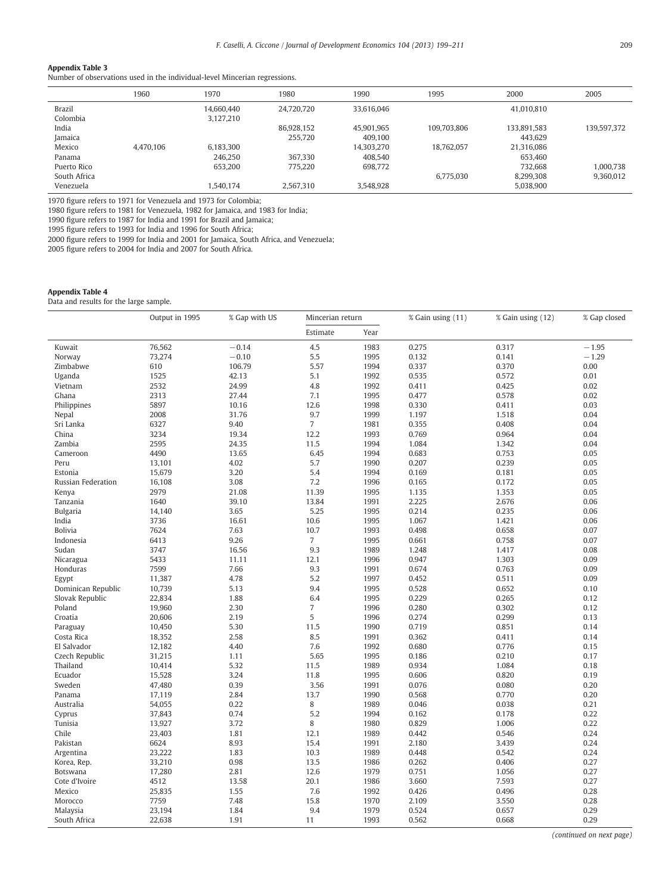#### <span id="page-10-0"></span>Appendix Table 3

Number of observations used in the individual-level Mincerian regressions.

|                             | 1960      | 1970                    | 1980                  | 1990                  | 1995        | 2000                   | 2005                   |
|-----------------------------|-----------|-------------------------|-----------------------|-----------------------|-------------|------------------------|------------------------|
| <b>Brazil</b><br>Colombia   |           | 14.660.440<br>3,127,210 | 24,720,720            | 33.616.046            |             | 41,010,810             |                        |
| India<br>Jamaica            |           |                         | 86.928.152<br>255.720 | 45.901.965<br>409.100 | 109.703.806 | 133.891.583<br>443.629 | 139.597.372            |
| Mexico<br>Panama            | 4.470.106 | 6.183.300<br>246.250    | 367.330               | 14.303.270<br>408.540 | 18.762.057  | 21.316.086<br>653.460  |                        |
| Puerto Rico<br>South Africa |           | 653.200                 | 775.220               | 698,772               | 6.775.030   | 732.668<br>8.299.308   | 1.000.738<br>9,360,012 |
| Venezuela                   |           | 1,540,174               | 2,567,310             | 3,548,928             |             | 5,038,900              |                        |

1970 figure refers to 1971 for Venezuela and 1973 for Colombia;

1980 figure refers to 1981 for Venezuela, 1982 for Jamaica, and 1983 for India;

1990 figure refers to 1987 for India and 1991 for Brazil and Jamaica;

1995 figure refers to 1993 for India and 1996 for South Africa;

2000 figure refers to 1999 for India and 2001 for Jamaica, South Africa, and Venezuela;

2005 figure refers to 2004 for India and 2007 for South Africa.

### Appendix Table 4

Data and results for the large sample.

|                    | Output in 1995 | % Gap with US | Mincerian return |      | % Gain using (11) | % Gain using (12) | % Gap closed |
|--------------------|----------------|---------------|------------------|------|-------------------|-------------------|--------------|
|                    |                |               | Estimate         | Year |                   |                   |              |
| Kuwait             | 76,562         | $-0.14$       | 4.5              | 1983 | 0.275             | 0.317             | $-1.95$      |
| Norway             | 73,274         | $-0.10$       | 5.5              | 1995 | 0.132             | 0.141             | $-1.29$      |
| Zimbabwe           | 610            | 106.79        | 5.57             | 1994 | 0.337             | 0.370             | 0.00         |
| Uganda             | 1525           | 42.13         | 5.1              | 1992 | 0.535             | 0.572             | 0.01         |
| Vietnam            | 2532           | 24.99         | 4.8              | 1992 | 0.411             | 0.425             | 0.02         |
| Ghana              | 2313           | 27.44         | 7.1              | 1995 | 0.477             | 0.578             | 0.02         |
| Philippines        | 5897           | 10.16         | 12.6             | 1998 | 0.330             | 0.411             | 0.03         |
| Nepal              | 2008           | 31.76         | 9.7              | 1999 | 1.197             | 1.518             | 0.04         |
| Sri Lanka          | 6327           | 9.40          | $\overline{7}$   | 1981 | 0.355             | 0.408             | 0.04         |
| China              | 3234           | 19.34         | 12.2             | 1993 | 0.769             | 0.964             | 0.04         |
| Zambia             | 2595           | 24.35         | 11.5             | 1994 | 1.084             | 1.342             | 0.04         |
| Cameroon           | 4490           | 13.65         | 6.45             | 1994 | 0.683             | 0.753             | 0.05         |
| Peru               | 13,101         | 4.02          | 5.7              | 1990 | 0.207             | 0.239             | 0.05         |
| Estonia            | 15,679         | 3.20          | 5.4              | 1994 | 0.169             | 0.181             | 0.05         |
| Russian Federation | 16,108         | 3.08          | 7.2              | 1996 | 0.165             | 0.172             | 0.05         |
| Kenya              | 2979           | 21.08         | 11.39            | 1995 | 1.135             | 1.353             | 0.05         |
| Tanzania           | 1640           | 39.10         | 13.84            | 1991 | 2.225             | 2.676             | 0.06         |
| <b>Bulgaria</b>    | 14,140         | 3.65          | 5.25             | 1995 | 0.214             | 0.235             | 0.06         |
| India              | 3736           | 16.61         | 10.6             | 1995 | 1.067             | 1.421             | 0.06         |
| <b>Bolivia</b>     | 7624           | 7.63          | 10.7             | 1993 | 0.498             | 0.658             | 0.07         |
| Indonesia          | 6413           | 9.26          | $\overline{7}$   | 1995 | 0.661             | 0.758             | 0.07         |
| Sudan              | 3747           | 16.56         | 9.3              | 1989 | 1.248             | 1.417             | 0.08         |
| Nicaragua          | 5433           | 11.11         | 12.1             | 1996 | 0.947             | 1.303             | 0.09         |
| Honduras           | 7599           | 7.66          | 9.3              | 1991 | 0.674             | 0.763             | 0.09         |
| Egypt              | 11,387         | 4.78          | 5.2              | 1997 | 0.452             | 0.511             | 0.09         |
| Dominican Republic | 10,739         | 5.13          | 9.4              | 1995 | 0.528             | 0.652             | 0.10         |
| Slovak Republic    | 22,834         | 1.88          | 6.4              | 1995 | 0.229             | 0.265             | 0.12         |
| Poland             | 19,960         | 2.30          | $\overline{7}$   | 1996 | 0.280             | 0.302             | 0.12         |
| Croatia            | 20,606         | 2.19          | 5                | 1996 | 0.274             | 0.299             | 0.13         |
| Paraguay           | 10,450         | 5.30          | 11.5             | 1990 | 0.719             | 0.851             | 0.14         |
| Costa Rica         | 18,352         | 2.58          | 8.5              | 1991 | 0.362             | 0.411             | 0.14         |
| El Salvador        | 12,182         | 4.40          | 7.6              | 1992 | 0.680             | 0.776             | 0.15         |
| Czech Republic     | 31,215         | 1.11          | 5.65             | 1995 | 0.186             | 0.210             | 0.17         |
| Thailand           | 10,414         | 5.32          | 11.5             | 1989 | 0.934             | 1.084             | 0.18         |
| Ecuador            | 15,528         | 3.24          | 11.8             | 1995 | 0.606             | 0.820             | 0.19         |
| Sweden             | 47,480         | 0.39          | 3.56             | 1991 | 0.076             | 0.080             | 0.20         |
| Panama             | 17,119         | 2.84          | 13.7             | 1990 | 0.568             | 0.770             | 0.20         |
| Australia          | 54,055         | 0.22          | 8                | 1989 | 0.046             | 0.038             | 0.21         |
| Cyprus             | 37,843         | 0.74          | 5.2              | 1994 | 0.162             | 0.178             | 0.22         |
| Tunisia            | 13,927         | 3.72          | 8                | 1980 | 0.829             | 1.006             | 0.22         |
| Chile              | 23,403         | 1.81          | 12.1             | 1989 | 0.442             | 0.546             | 0.24         |
| Pakistan           | 6624           | 8.93          | 15.4             | 1991 | 2.180             | 3.439             | 0.24         |
| Argentina          | 23,222         | 1.83          | 10.3             | 1989 | 0.448             | 0.542             | 0.24         |
| Korea, Rep.        | 33,210         | 0.98          | 13.5             | 1986 | 0.262             | 0.406             | 0.27         |
| Botswana           | 17,280         | 2.81          | 12.6             | 1979 | 0.751             | 1.056             | 0.27         |
| Cote d'Ivoire      | 4512           | 13.58         | 20.1             | 1986 | 3.660             | 7.593             | 0.27         |
| Mexico             | 25,835         | 1.55          | 7.6              | 1992 | 0.426             | 0.496             | 0.28         |
| Morocco            | 7759           | 7.48          | 15.8             | 1970 | 2.109             | 3.550             | 0.28         |
|                    | 23,194         | 1.84          | 9.4              | 1979 | 0.524             | 0.657             | 0.29         |
| Malaysia           |                |               | 11               | 1993 | 0.562             |                   | 0.29         |
| South Africa       | 22,638         | 1.91          |                  |      |                   | 0.668             |              |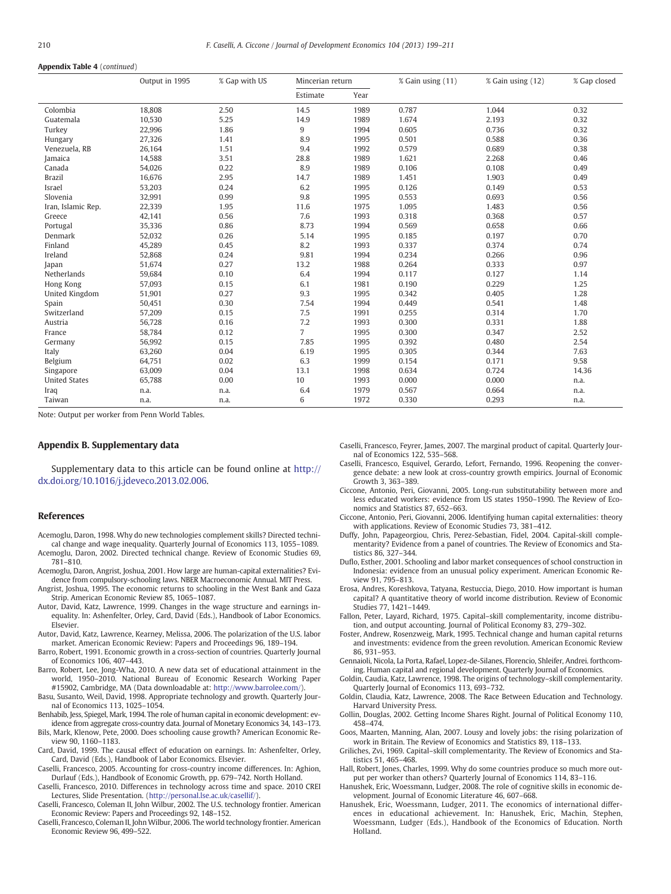#### <span id="page-11-0"></span>Appendix Table 4 (continued)

|                      | Output in 1995 | % Gap with US | Mincerian return |      | % Gain using (11) | % Gain using (12) | % Gap closed |
|----------------------|----------------|---------------|------------------|------|-------------------|-------------------|--------------|
|                      |                |               | Estimate         | Year |                   |                   |              |
| Colombia             | 18,808         | 2.50          | 14.5             | 1989 | 0.787             | 1.044             | 0.32         |
| Guatemala            | 10,530         | 5.25          | 14.9             | 1989 | 1.674             | 2.193             | 0.32         |
| Turkey               | 22,996         | 1.86          | 9                | 1994 | 0.605             | 0.736             | 0.32         |
| Hungary              | 27,326         | 1.41          | 8.9              | 1995 | 0.501             | 0.588             | 0.36         |
| Venezuela, RB        | 26,164         | 1.51          | 9.4              | 1992 | 0.579             | 0.689             | 0.38         |
| Jamaica              | 14,588         | 3.51          | 28.8             | 1989 | 1.621             | 2.268             | 0.46         |
| Canada               | 54,026         | 0.22          | 8.9              | 1989 | 0.106             | 0.108             | 0.49         |
| <b>Brazil</b>        | 16,676         | 2.95          | 14.7             | 1989 | 1.451             | 1.903             | 0.49         |
| Israel               | 53,203         | 0.24          | 6.2              | 1995 | 0.126             | 0.149             | 0.53         |
| Slovenia             | 32,991         | 0.99          | 9.8              | 1995 | 0.553             | 0.693             | 0.56         |
| Iran, Islamic Rep.   | 22,339         | 1.95          | 11.6             | 1975 | 1.095             | 1.483             | 0.56         |
| Greece               | 42,141         | 0.56          | 7.6              | 1993 | 0.318             | 0.368             | 0.57         |
| Portugal             | 35,336         | 0.86          | 8.73             | 1994 | 0.569             | 0.658             | 0.66         |
| Denmark              | 52,032         | 0.26          | 5.14             | 1995 | 0.185             | 0.197             | 0.70         |
| Finland              | 45,289         | 0.45          | 8.2              | 1993 | 0.337             | 0.374             | 0.74         |
| Ireland              | 52,868         | 0.24          | 9.81             | 1994 | 0.234             | 0.266             | 0.96         |
| Japan                | 51,674         | 0.27          | 13.2             | 1988 | 0.264             | 0.333             | 0.97         |
| Netherlands          | 59,684         | 0.10          | 6.4              | 1994 | 0.117             | 0.127             | 1.14         |
| Hong Kong            | 57,093         | 0.15          | 6.1              | 1981 | 0.190             | 0.229             | 1.25         |
| United Kingdom       | 51,901         | 0.27          | 9.3              | 1995 | 0.342             | 0.405             | 1.28         |
| Spain                | 50,451         | 0.30          | 7.54             | 1994 | 0.449             | 0.541             | 1.48         |
| Switzerland          | 57,209         | 0.15          | 7.5              | 1991 | 0.255             | 0.314             | 1.70         |
| Austria              | 56,728         | 0.16          | 7.2              | 1993 | 0.300             | 0.331             | 1.88         |
| France               | 58,784         | 0.12          | $\overline{7}$   | 1995 | 0.300             | 0.347             | 2.52         |
| Germany              | 56,992         | 0.15          | 7.85             | 1995 | 0.392             | 0.480             | 2.54         |
| Italy                | 63,260         | 0.04          | 6.19             | 1995 | 0.305             | 0.344             | 7.63         |
| Belgium              | 64,751         | 0.02          | 6.3              | 1999 | 0.154             | 0.171             | 9.58         |
| Singapore            | 63,009         | 0.04          | 13.1             | 1998 | 0.634             | 0.724             | 14.36        |
| <b>United States</b> | 65,788         | 0.00          | 10               | 1993 | 0.000             | 0.000             | n.a.         |
| Iraq                 | n.a.           | n.a.          | 6.4              | 1979 | 0.567             | 0.664             | n.a.         |
| Taiwan               | n.a.           | n.a.          | 6                | 1972 | 0.330             | 0.293             | n.a.         |

Note: Output per worker from Penn World Tables.

#### Appendix B. Supplementary data

Supplementary data to this article can be found online at [http://](http://dx.doi.org/10.1016/j.jdeveco.2013.02.006) [dx.doi.org/10.1016/j.jdeveco.2013.02.006](http://dx.doi.org/10.1016/j.jdeveco.2013.02.006).

#### References

- Acemoglu, Daron, 1998. Why do new technologies complement skills? Directed technical change and wage inequality. Quarterly Journal of Economics 113, 1055–1089.
- Acemoglu, Daron, 2002. Directed technical change. Review of Economic Studies 69, 781–810.
- Acemoglu, Daron, Angrist, Joshua, 2001. How large are human-capital externalities? Evidence from compulsory-schooling laws. NBER Macroeconomic Annual. MIT Press.
- Angrist, Joshua, 1995. The economic returns to schooling in the West Bank and Gaza Strip. American Economic Review 85, 1065–1087.
- Autor, David, Katz, Lawrence, 1999. Changes in the wage structure and earnings inequality. In: Ashenfelter, Orley, Card, David (Eds.), Handbook of Labor Economics. Elsevier.
- Autor, David, Katz, Lawrence, Kearney, Melissa, 2006. The polarization of the U.S. labor market. American Economic Review: Papers and Proceedings 96, 189–194.
- Barro, Robert, 1991. Economic growth in a cross-section of countries. Quarterly Journal of Economics 106, 407–443.
- Barro, Robert, Lee, Jong-Wha, 2010. A new data set of educational attainment in the world, 1950–2010. National Bureau of Economic Research Working Paper #15902, Cambridge, MA (Data downloadable at: [http://www.barrolee.com/\)](http://www.barrolee.com/).
- Basu, Susanto, Weil, David, 1998. Appropriate technology and growth. Quarterly Journal of Economics 113, 1025–1054.
- Benhabib, Jess, Spiegel, Mark, 1994. The role of human capital in economic development: evidence from aggregate cross-country data. Journal of Monetary Economics 34, 143–173.
- Bils, Mark, Klenow, Pete, 2000. Does schooling cause growth? American Economic Review 90, 1160–1183.
- Card, David, 1999. The causal effect of education on earnings. In: Ashenfelter, Orley, Card, David (Eds.), Handbook of Labor Economics. Elsevier.
- Caselli, Francesco, 2005. Accounting for cross-country income differences. In: Aghion, Durlauf (Eds.), Handbook of Economic Growth, pp. 679–742. North Holland.
- Caselli, Francesco, 2010. Differences in technology across time and space. 2010 CREI Lectures, Slide Presentation. [\(http://personal.lse.ac.uk/casellif/](http://personal.lse.ac.uk/casellif/)).
- Caselli, Francesco, Coleman II, John Wilbur, 2002. The U.S. technology frontier. American Economic Review: Papers and Proceedings 92, 148–152.
- Caselli, Francesco, Coleman II, John Wilbur, 2006. The world technology frontier. American Economic Review 96, 499–522.

Caselli, Francesco, Feyrer, James, 2007. The marginal product of capital. Quarterly Journal of Economics 122, 535–568.

- Caselli, Francesco, Esquivel, Gerardo, Lefort, Fernando, 1996. Reopening the convergence debate: a new look at cross-country growth empirics. Journal of Economic Growth 3, 363–389.
- Ciccone, Antonio, Peri, Giovanni, 2005. Long-run substitutability between more and less educated workers: evidence from US states 1950–1990. The Review of Economics and Statistics 87, 652–663.
- Ciccone, Antonio, Peri, Giovanni, 2006. Identifying human capital externalities: theory with applications. Review of Economic Studies 73, 381–412.
- Duffy, John, Papageorgiou, Chris, Perez-Sebastian, Fidel, 2004. Capital-skill complementarity? Evidence from a panel of countries. The Review of Economics and Statistics 86, 327–344.
- Duflo, Esther, 2001. Schooling and labor market consequences of school construction in Indonesia: evidence from an unusual policy experiment. American Economic Review 91, 795–813.
- Erosa, Andres, Koreshkova, Tatyana, Restuccia, Diego, 2010. How important is human capital? A quantitative theory of world income distribution. Review of Economic Studies 77, 1421–1449.
- Fallon, Peter, Layard, Richard, 1975. Capital–skill complementarity, income distribution, and output accounting. Journal of Political Economy 83, 279–302.
- Foster, Andrew, Rosenzweig, Mark, 1995. Technical change and human capital returns and investments: evidence from the green revolution. American Economic Review 86, 931–953.
- Gennaioli, Nicola, La Porta, Rafael, Lopez-de-Silanes, Florencio, Shleifer, Andrei. forthcoming. Human capital and regional development. Quarterly Journal of Economics.
- Goldin, Caudia, Katz, Lawrence, 1998. The origins of technology–skill complementarity. Quarterly Journal of Economics 113, 693–732.
- Goldin, Claudia, Katz, Lawrence, 2008. The Race Between Education and Technology. Harvard University Press.
- Gollin, Douglas, 2002. Getting Income Shares Right. Journal of Political Economy 110, 458–474.
- Goos, Maarten, Manning, Alan, 2007. Lousy and lovely jobs: the rising polarization of work in Britain. The Review of Economics and Statistics 89, 118–133.
- Griliches, Zvi, 1969. Capital–skill complementarity. The Review of Economics and Statistics 51, 465–468.
- Hall, Robert, Jones, Charles, 1999. Why do some countries produce so much more output per worker than others? Quarterly Journal of Economics 114, 83–116.
- Hanushek, Eric, Woessmann, Ludger, 2008. The role of cognitive skills in economic development. Journal of Economic Literature 46, 607–668.
- Hanushek, Eric, Woessmann, Ludger, 2011. The economics of international differences in educational achievement. In: Hanushek, Eric, Machin, Stephen, Woessmann, Ludger (Eds.), Handbook of the Economics of Education. North Holland.